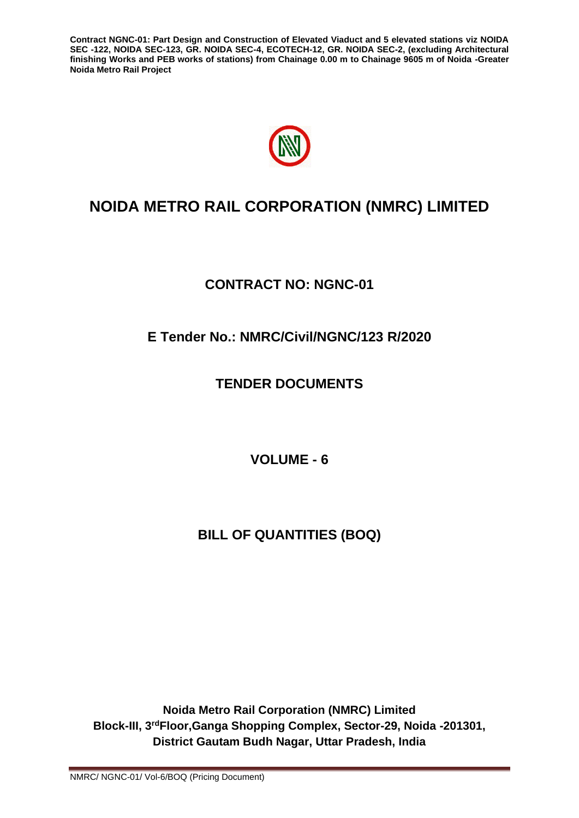

# **NOIDA METRO RAIL CORPORATION (NMRC) LIMITED**

# **CONTRACT NO: NGNC-01**

# **E Tender No.: NMRC/Civil/NGNC/123 R/2020**

# **TENDER DOCUMENTS**

**VOLUME - 6**

# **BILL OF QUANTITIES (BOQ)**

**Noida Metro Rail Corporation (NMRC) Limited Block-III, 3rdFloor,Ganga Shopping Complex, Sector-29, Noida -201301, District Gautam Budh Nagar, Uttar Pradesh, India**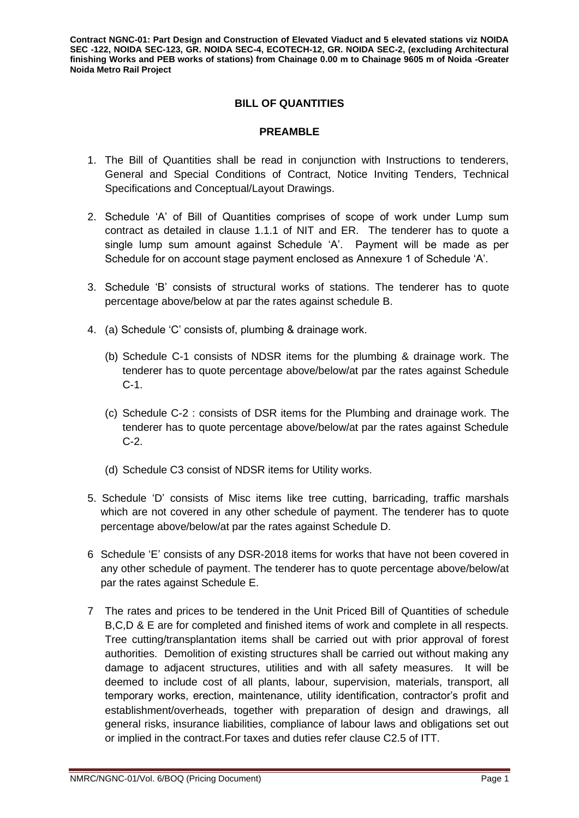# **BILL OF QUANTITIES**

### **PREAMBLE**

- 1. The Bill of Quantities shall be read in conjunction with Instructions to tenderers, General and Special Conditions of Contract, Notice Inviting Tenders, Technical Specifications and Conceptual/Layout Drawings.
- 2. Schedule 'A' of Bill of Quantities comprises of scope of work under Lump sum contract as detailed in clause 1.1.1 of NIT and ER. The tenderer has to quote a single lump sum amount against Schedule 'A'. Payment will be made as per Schedule for on account stage payment enclosed as Annexure 1 of Schedule 'A'.
- 3. Schedule 'B' consists of structural works of stations. The tenderer has to quote percentage above/below at par the rates against schedule B.
- 4. (a) Schedule 'C' consists of, plumbing & drainage work.
	- (b) Schedule C-1 consists of NDSR items for the plumbing & drainage work. The tenderer has to quote percentage above/below/at par the rates against Schedule C-1.
	- (c) Schedule C-2 : consists of DSR items for the Plumbing and drainage work. The tenderer has to quote percentage above/below/at par the rates against Schedule C-2.
	- (d) Schedule C3 consist of NDSR items for Utility works.
- 5. Schedule 'D' consists of Misc items like tree cutting, barricading, traffic marshals which are not covered in any other schedule of payment. The tenderer has to quote percentage above/below/at par the rates against Schedule D.
- 6 Schedule 'E' consists of any DSR-2018 items for works that have not been covered in any other schedule of payment. The tenderer has to quote percentage above/below/at par the rates against Schedule E.
- 7 The rates and prices to be tendered in the Unit Priced Bill of Quantities of schedule B,C,D & E are for completed and finished items of work and complete in all respects. Tree cutting/transplantation items shall be carried out with prior approval of forest authorities. Demolition of existing structures shall be carried out without making any damage to adjacent structures, utilities and with all safety measures. It will be deemed to include cost of all plants, labour, supervision, materials, transport, all temporary works, erection, maintenance, utility identification, contractor's profit and establishment/overheads, together with preparation of design and drawings, all general risks, insurance liabilities, compliance of labour laws and obligations set out or implied in the contract.For taxes and duties refer clause C2.5 of ITT.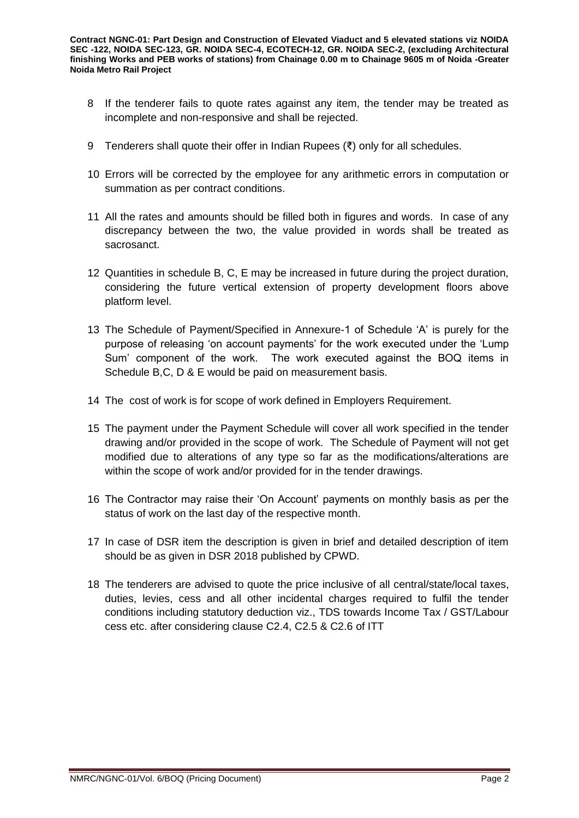- 8 If the tenderer fails to quote rates against any item, the tender may be treated as incomplete and non-responsive and shall be rejected.
- 9 Tenderers shall quote their offer in Indian Rupees (₹) only for all schedules.
- 10 Errors will be corrected by the employee for any arithmetic errors in computation or summation as per contract conditions.
- 11 All the rates and amounts should be filled both in figures and words. In case of any discrepancy between the two, the value provided in words shall be treated as sacrosanct.
- 12 Quantities in schedule B, C, E may be increased in future during the project duration, considering the future vertical extension of property development floors above platform level.
- 13 The Schedule of Payment/Specified in Annexure-1 of Schedule 'A' is purely for the purpose of releasing 'on account payments' for the work executed under the 'Lump Sum' component of the work. The work executed against the BOQ items in Schedule B,C, D & E would be paid on measurement basis.
- 14 The cost of work is for scope of work defined in Employers Requirement.
- 15 The payment under the Payment Schedule will cover all work specified in the tender drawing and/or provided in the scope of work. The Schedule of Payment will not get modified due to alterations of any type so far as the modifications/alterations are within the scope of work and/or provided for in the tender drawings.
- 16 The Contractor may raise their 'On Account' payments on monthly basis as per the status of work on the last day of the respective month.
- 17 In case of DSR item the description is given in brief and detailed description of item should be as given in DSR 2018 published by CPWD.
- 18 The tenderers are advised to quote the price inclusive of all central/state/local taxes, duties, levies, cess and all other incidental charges required to fulfil the tender conditions including statutory deduction viz., TDS towards Income Tax / GST/Labour cess etc. after considering clause C2.4, C2.5 & C2.6 of ITT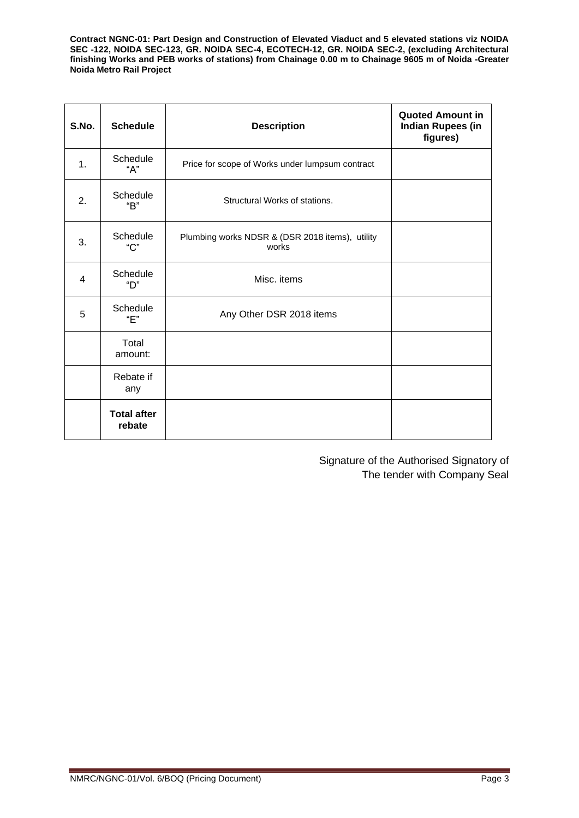| S.No.          | <b>Schedule</b>              | <b>Description</b>                                       | <b>Quoted Amount in</b><br><b>Indian Rupees (in</b><br>figures) |
|----------------|------------------------------|----------------------------------------------------------|-----------------------------------------------------------------|
| 1.             | Schedule<br>"А"              | Price for scope of Works under lumpsum contract          |                                                                 |
| 2.             | Schedule<br>"R"              | Structural Works of stations.                            |                                                                 |
| 3.             | Schedule<br>"C"              | Plumbing works NDSR & (DSR 2018 items), utility<br>works |                                                                 |
| $\overline{4}$ | Schedule<br>"П"              | Misc. items                                              |                                                                 |
| 5              | Schedule<br>"Е"              | Any Other DSR 2018 items                                 |                                                                 |
|                | Total<br>amount:             |                                                          |                                                                 |
|                | Rebate if<br>any             |                                                          |                                                                 |
|                | <b>Total after</b><br>rebate |                                                          |                                                                 |

Signature of the Authorised Signatory of The tender with Company Seal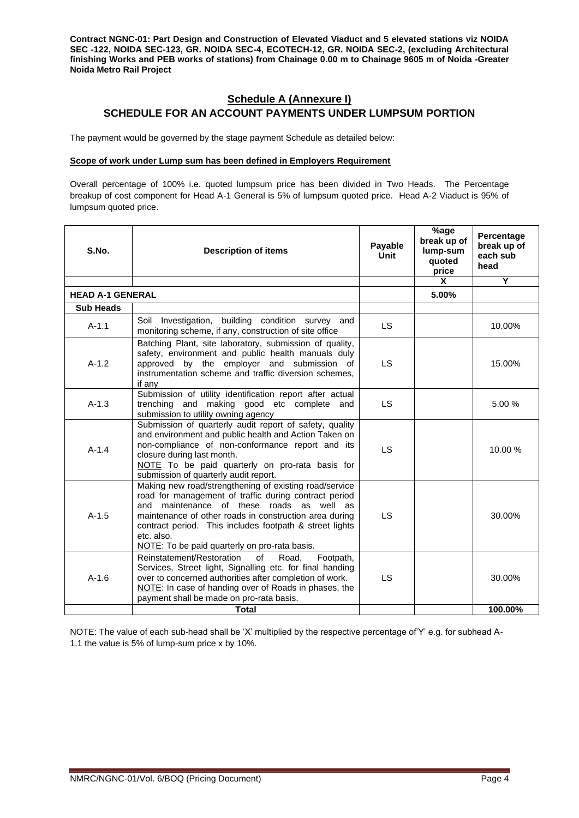## **Schedule A (Annexure I) SCHEDULE FOR AN ACCOUNT PAYMENTS UNDER LUMPSUM PORTION**

The payment would be governed by the stage payment Schedule as detailed below:

#### **Scope of work under Lump sum has been defined in Employers Requirement**

Overall percentage of 100% i.e. quoted lumpsum price has been divided in Two Heads. The Percentage breakup of cost component for Head A-1 General is 5% of lumpsum quoted price. Head A-2 Viaduct is 95% of lumpsum quoted price.

| S.No.            | <b>Description of items</b>                                                                                                                                                                                                                                                                                                                      | Payable<br>Unit | %age<br>break up of<br>lump-sum<br>quoted<br>price | Percentage<br>break up of<br>each sub<br>head |
|------------------|--------------------------------------------------------------------------------------------------------------------------------------------------------------------------------------------------------------------------------------------------------------------------------------------------------------------------------------------------|-----------------|----------------------------------------------------|-----------------------------------------------|
|                  |                                                                                                                                                                                                                                                                                                                                                  |                 | X                                                  | Y                                             |
|                  | <b>HEAD A-1 GENERAL</b>                                                                                                                                                                                                                                                                                                                          |                 | 5.00%                                              |                                               |
| <b>Sub Heads</b> |                                                                                                                                                                                                                                                                                                                                                  |                 |                                                    |                                               |
| $A-1.1$          | building condition survey and<br>Soil Investigation,<br>monitoring scheme, if any, construction of site office                                                                                                                                                                                                                                   | <b>LS</b>       |                                                    | 10.00%                                        |
| $A-1.2$          | Batching Plant, site laboratory, submission of quality,<br>safety, environment and public health manuals duly<br>approved by the employer and submission of<br>instrumentation scheme and traffic diversion schemes,<br>if any                                                                                                                   | <b>LS</b>       |                                                    | 15.00%                                        |
| $A-1.3$          | Submission of utility identification report after actual<br>trenching and making good etc complete and<br>submission to utility owning agency                                                                                                                                                                                                    | <b>LS</b>       |                                                    | 5.00 %                                        |
| $A-1.4$          | Submission of quarterly audit report of safety, quality<br>and environment and public health and Action Taken on<br>non-compliance of non-conformance report and its<br>closure during last month.<br>NOTE To be paid quarterly on pro-rata basis for<br>submission of quarterly audit report.                                                   | <b>LS</b>       |                                                    | 10.00 %                                       |
| $A - 1.5$        | Making new road/strengthening of existing road/service<br>road for management of traffic during contract period<br>and maintenance of these roads as well as<br>maintenance of other roads in construction area during<br>contract period. This includes footpath & street lights<br>etc. also.<br>NOTE: To be paid quarterly on pro-rata basis. | LS.             |                                                    | 30.00%                                        |
| $A-1.6$          | Reinstatement/Restoration<br>of<br>Road,<br>Footpath,<br>Services, Street light, Signalling etc. for final handing<br>over to concerned authorities after completion of work.<br>NOTE: In case of handing over of Roads in phases, the<br>payment shall be made on pro-rata basis.                                                               | <b>LS</b>       |                                                    | 30.00%                                        |
|                  | <b>Total</b>                                                                                                                                                                                                                                                                                                                                     |                 |                                                    | 100.00%                                       |

NOTE: The value of each sub-head shall be 'X' multiplied by the respective percentage of Y' e.g. for subhead A-1.1 the value is 5% of lump-sum price x by 10%.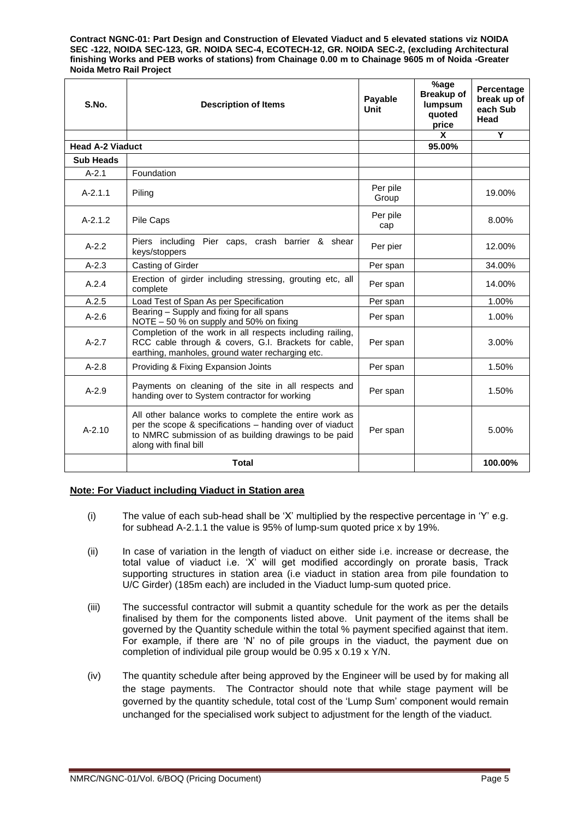| S.No.                   | <b>Description of Items</b>                                                                                                                                                                          |                   | %age<br><b>Breakup of</b><br>lumpsum<br>quoted<br>price | Percentage<br>break up of<br>each Sub<br>Head |
|-------------------------|------------------------------------------------------------------------------------------------------------------------------------------------------------------------------------------------------|-------------------|---------------------------------------------------------|-----------------------------------------------|
|                         |                                                                                                                                                                                                      |                   | X                                                       | Y                                             |
| <b>Head A-2 Viaduct</b> |                                                                                                                                                                                                      |                   | 95.00%                                                  |                                               |
| <b>Sub Heads</b>        |                                                                                                                                                                                                      |                   |                                                         |                                               |
| $A - 2.1$               | Foundation                                                                                                                                                                                           |                   |                                                         |                                               |
| $A - 2.1.1$             | Piling                                                                                                                                                                                               | Per pile<br>Group |                                                         | 19.00%                                        |
| $A-2.1.2$               | Pile Caps                                                                                                                                                                                            | Per pile<br>cap   |                                                         | 8.00%                                         |
| $A - 2.2$               | Piers including<br>Pier caps, crash barrier & shear<br>keys/stoppers                                                                                                                                 | Per pier          |                                                         | 12.00%                                        |
| $A - 2.3$               | Casting of Girder                                                                                                                                                                                    | Per span          |                                                         | 34.00%                                        |
| A.2.4                   | Erection of girder including stressing, grouting etc, all<br>complete                                                                                                                                | Per span          |                                                         | 14.00%                                        |
| A.2.5                   | Load Test of Span As per Specification                                                                                                                                                               | Per span          |                                                         | 1.00%                                         |
| $A-2.6$                 | Bearing - Supply and fixing for all spans<br>NOTE - 50 % on supply and 50% on fixing                                                                                                                 | Per span          |                                                         | 1.00%                                         |
| $A-2.7$                 | Completion of the work in all respects including railing,<br>RCC cable through & covers, G.I. Brackets for cable,<br>earthing, manholes, ground water recharging etc.                                | Per span          |                                                         | 3.00%                                         |
| $A - 2.8$               | Providing & Fixing Expansion Joints                                                                                                                                                                  | Per span          |                                                         | 1.50%                                         |
| $A - 2.9$               | Payments on cleaning of the site in all respects and<br>handing over to System contractor for working                                                                                                | Per span          |                                                         | 1.50%                                         |
| $A - 2.10$              | All other balance works to complete the entire work as<br>per the scope & specifications - handing over of viaduct<br>to NMRC submission of as building drawings to be paid<br>along with final bill | Per span          |                                                         | 5.00%                                         |
|                         | <b>Total</b>                                                                                                                                                                                         |                   |                                                         | 100.00%                                       |

#### **Note: For Viaduct including Viaduct in Station area**

- (i) The value of each sub-head shall be 'X' multiplied by the respective percentage in 'Y' e.g. for subhead A-2.1.1 the value is 95% of lump-sum quoted price x by 19%.
- (ii) In case of variation in the length of viaduct on either side i.e. increase or decrease, the total value of viaduct i.e. 'X' will get modified accordingly on prorate basis, Track supporting structures in station area (i.e viaduct in station area from pile foundation to U/C Girder) (185m each) are included in the Viaduct lump-sum quoted price.
- (iii) The successful contractor will submit a quantity schedule for the work as per the details finalised by them for the components listed above. Unit payment of the items shall be governed by the Quantity schedule within the total % payment specified against that item. For example, if there are 'N' no of pile groups in the viaduct, the payment due on completion of individual pile group would be 0.95 x 0.19 x Y/N.
- (iv) The quantity schedule after being approved by the Engineer will be used by for making all the stage payments. The Contractor should note that while stage payment will be governed by the quantity schedule, total cost of the 'Lump Sum' component would remain unchanged for the specialised work subject to adjustment for the length of the viaduct.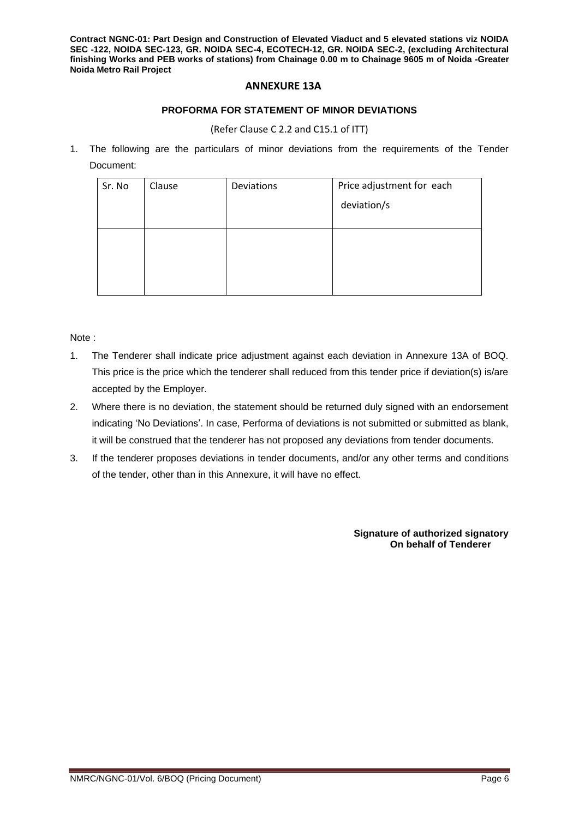#### **ANNEXURE 13A**

#### **PROFORMA FOR STATEMENT OF MINOR DEVIATIONS**

#### (Refer Clause C 2.2 and C15.1 of ITT)

1. The following are the particulars of minor deviations from the requirements of the Tender Document:

| Sr. No | Clause | Deviations | Price adjustment for each<br>deviation/s |
|--------|--------|------------|------------------------------------------|
|        |        |            |                                          |

Note :

- 1. The Tenderer shall indicate price adjustment against each deviation in Annexure 13A of BOQ. This price is the price which the tenderer shall reduced from this tender price if deviation(s) is/are accepted by the Employer.
- 2. Where there is no deviation, the statement should be returned duly signed with an endorsement indicating 'No Deviations'. In case, Performa of deviations is not submitted or submitted as blank, it will be construed that the tenderer has not proposed any deviations from tender documents.
- 3. If the tenderer proposes deviations in tender documents, and/or any other terms and conditions of the tender, other than in this Annexure, it will have no effect.

**Signature of authorized signatory On behalf of Tenderer**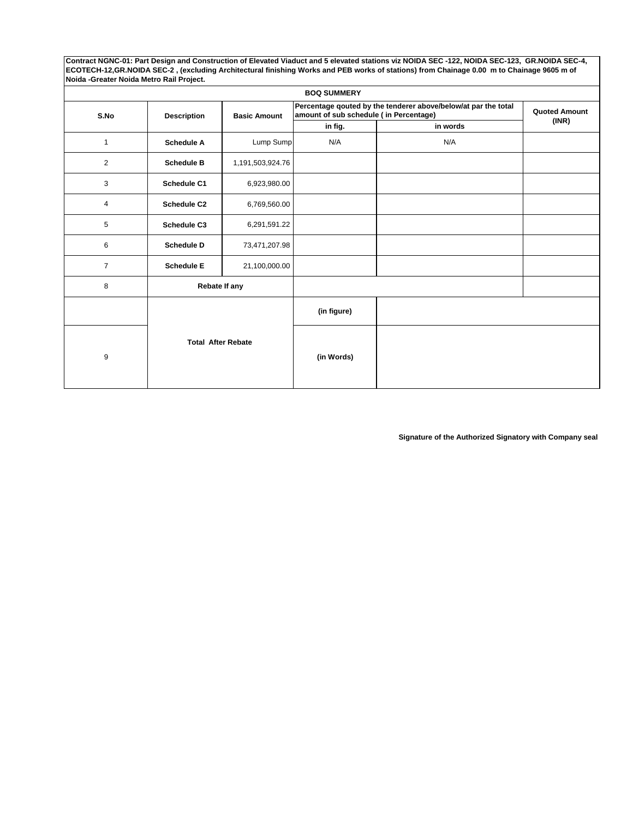|                                                   | <b>BOQ SUMMERY</b>        |                  |                                                                                                           |                      |       |  |  |
|---------------------------------------------------|---------------------------|------------------|-----------------------------------------------------------------------------------------------------------|----------------------|-------|--|--|
| S.No<br><b>Basic Amount</b><br><b>Description</b> |                           |                  | Percentage qouted by the tenderer above/below/at par the total<br>amount of sub schedule ( in Percentage) | <b>Quoted Amount</b> |       |  |  |
|                                                   |                           |                  | in fig.                                                                                                   | in words             | (INR) |  |  |
| $\mathbf{1}$                                      | <b>Schedule A</b>         | Lump Sump        | N/A                                                                                                       | N/A                  |       |  |  |
| $\overline{c}$                                    | <b>Schedule B</b>         | 1,191,503,924.76 |                                                                                                           |                      |       |  |  |
| 3                                                 | Schedule C1               | 6,923,980.00     |                                                                                                           |                      |       |  |  |
| 4                                                 | <b>Schedule C2</b>        | 6,769,560.00     |                                                                                                           |                      |       |  |  |
| 5                                                 | <b>Schedule C3</b>        | 6,291,591.22     |                                                                                                           |                      |       |  |  |
| 6                                                 | <b>Schedule D</b>         | 73,471,207.98    |                                                                                                           |                      |       |  |  |
| $\overline{7}$                                    | <b>Schedule E</b>         | 21,100,000.00    |                                                                                                           |                      |       |  |  |
| 8                                                 | Rebate If any             |                  |                                                                                                           |                      |       |  |  |
|                                                   |                           |                  | (in figure)                                                                                               |                      |       |  |  |
| 9                                                 | <b>Total After Rebate</b> |                  | (in Words)                                                                                                |                      |       |  |  |

**Signature of the Authorized Signatory with Company seal**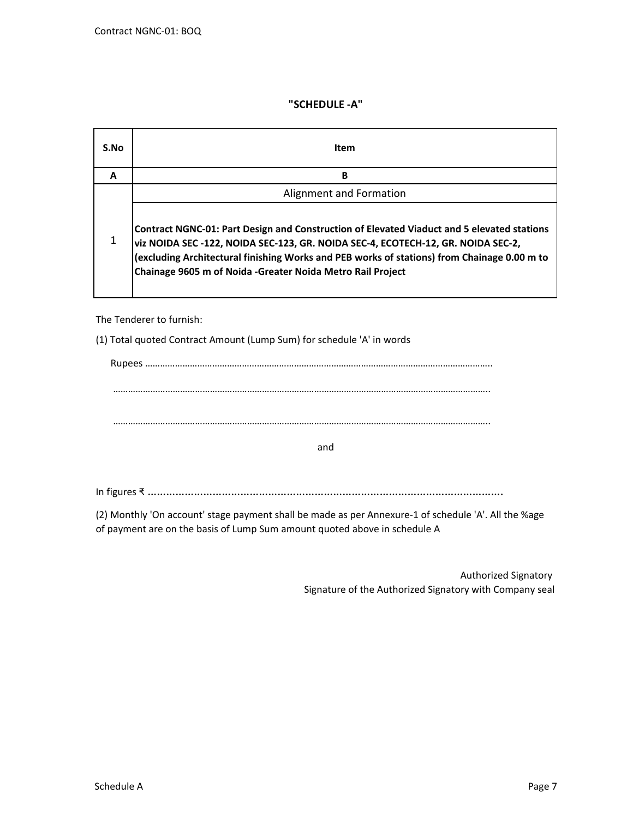## **"SCHEDULE -A"**

| S.No | Item                                                                                                                                                                                                                                                                                                                                         |
|------|----------------------------------------------------------------------------------------------------------------------------------------------------------------------------------------------------------------------------------------------------------------------------------------------------------------------------------------------|
| A    | B                                                                                                                                                                                                                                                                                                                                            |
|      | Alignment and Formation                                                                                                                                                                                                                                                                                                                      |
| 1    | Contract NGNC-01: Part Design and Construction of Elevated Viaduct and 5 elevated stations<br>viz NOIDA SEC -122, NOIDA SEC-123, GR. NOIDA SEC-4, ECOTECH-12, GR. NOIDA SEC-2,<br>(excluding Architectural finishing Works and PEB works of stations) from Chainage 0.00 m to<br>Chainage 9605 m of Noida - Greater Noida Metro Rail Project |

The Tenderer to furnish:

(1) Total quoted Contract Amount (Lump Sum) for schedule 'A' in words

| and |  |
|-----|--|

In figures ₹ …………………………………………………………………………………………………….

(2) Monthly 'On account' stage payment shall be made as per Annexure-1 of schedule 'A'. All the %age of payment are on the basis of Lump Sum amount quoted above in schedule A

> Signature of the Authorized Signatory with Company seal Authorized Signatory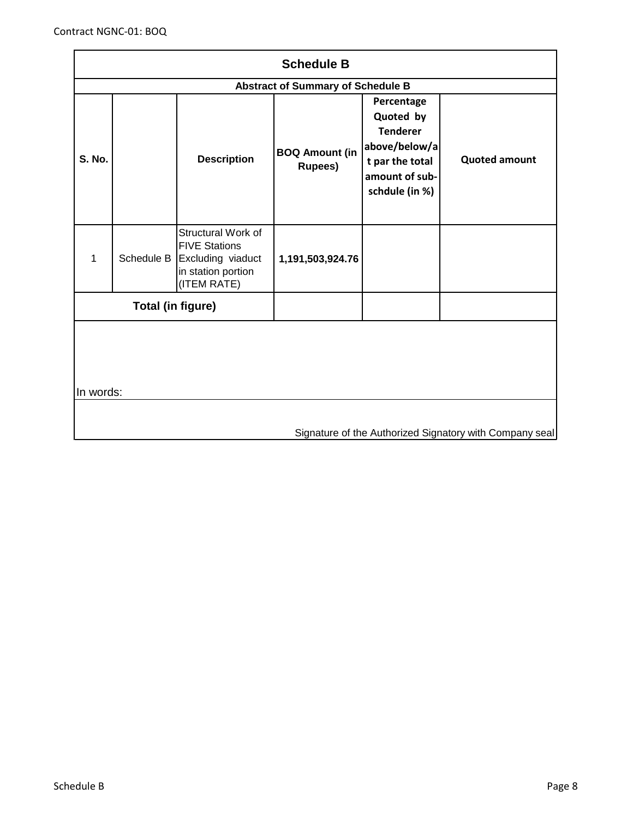| <b>Schedule B</b>                                                    |                                          |                                                                                                                 |                                         |                                                                                                                    |                      |  |  |
|----------------------------------------------------------------------|------------------------------------------|-----------------------------------------------------------------------------------------------------------------|-----------------------------------------|--------------------------------------------------------------------------------------------------------------------|----------------------|--|--|
|                                                                      | <b>Abstract of Summary of Schedule B</b> |                                                                                                                 |                                         |                                                                                                                    |                      |  |  |
| <b>S. No.</b>                                                        |                                          | <b>Description</b>                                                                                              | <b>BOQ Amount (in</b><br><b>Rupees)</b> | Percentage<br>Quoted by<br><b>Tenderer</b><br>above/below/a<br>t par the total<br>amount of sub-<br>schdule (in %) | <b>Quoted amount</b> |  |  |
| 1                                                                    |                                          | Structural Work of<br><b>FIVE Stations</b><br>Schedule B Excluding viaduct<br>in station portion<br>(ITEM RATE) | 1,191,503,924.76                        |                                                                                                                    |                      |  |  |
|                                                                      | Total (in figure)                        |                                                                                                                 |                                         |                                                                                                                    |                      |  |  |
| In words:<br>Signature of the Authorized Signatory with Company seal |                                          |                                                                                                                 |                                         |                                                                                                                    |                      |  |  |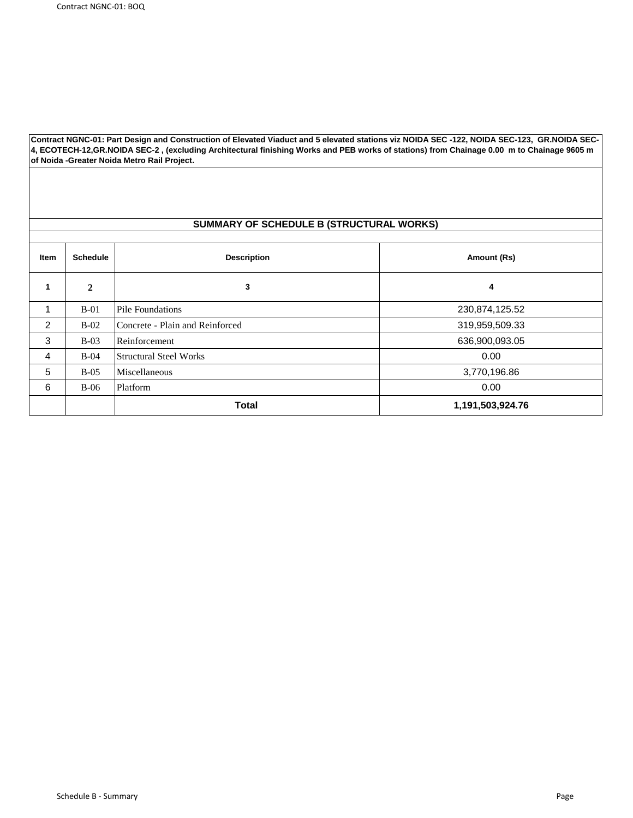#### **SUMMARY OF SCHEDULE B (STRUCTURAL WORKS)**

| Item | <b>Schedule</b> | <b>Description</b><br>Amount (Rs) |                  |  |
|------|-----------------|-----------------------------------|------------------|--|
| 1    | $\mathbf{2}$    | 3                                 | 4                |  |
|      | $B-01$          | Pile Foundations                  | 230,874,125.52   |  |
| 2    | $B-02$          | Concrete - Plain and Reinforced   | 319,959,509.33   |  |
| 3    | $B-03$          | Reinforcement                     | 636,900,093.05   |  |
| 4    | $B-04$          | <b>Structural Steel Works</b>     | 0.00             |  |
| 5    | $B-0.5$         | Miscellaneous                     | 3,770,196.86     |  |
| 6    | $B-06$          | Platform                          | 0.00             |  |
|      |                 | <b>Total</b>                      | 1,191,503,924.76 |  |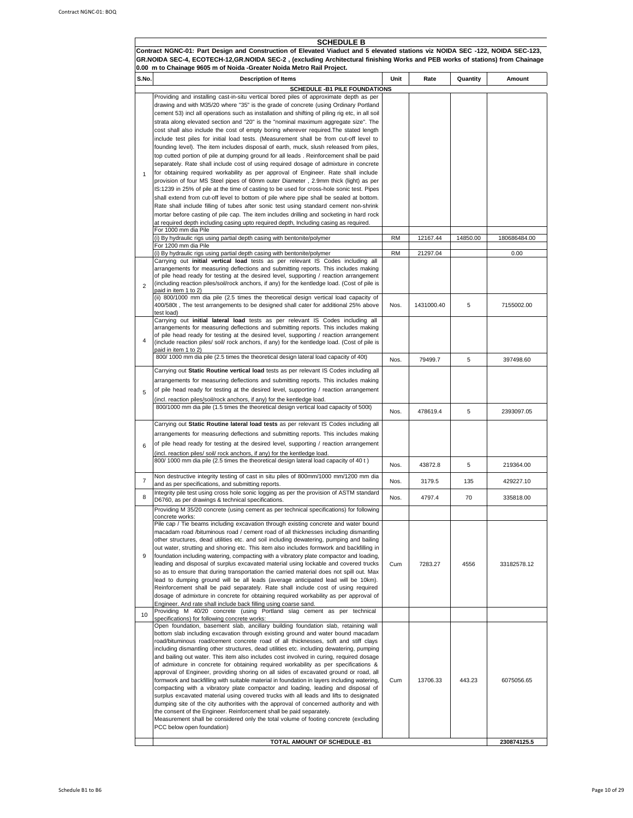SCHEDULE B<br>Contract NGNC-01: Part Design and Construction of Elevated Viaduct and 5 elevated stations viz NOIDA SEC -122, NOIDA SEC-123, GR.NOIDA SEC-4, ECOTECH-12,GR.NOIDA SEC-2 , (excluding Architectural finishing Works and PEB works of stations) from Chainage

|                | 0.00  m to Chainage 9605 m of Noida -Greater Noida Metro Rail Project.                                                                                                          |           |            |          |              |
|----------------|---------------------------------------------------------------------------------------------------------------------------------------------------------------------------------|-----------|------------|----------|--------------|
| S.No.          | <b>Description of Items</b>                                                                                                                                                     | Unit      | Rate       | Quantity | Amount       |
|                | <b>SCHEDULE -B1 PILE FOUNDATIONS</b>                                                                                                                                            |           |            |          |              |
|                | Providing and installing cast-in-situ vertical bored piles of approximate depth as per                                                                                          |           |            |          |              |
|                | drawing and with M35/20 where "35" is the grade of concrete (using Ordinary Portland                                                                                            |           |            |          |              |
|                | cement 53) incl all operations such as installation and shifting of piling rig etc, in all soil                                                                                 |           |            |          |              |
|                | strata along elevated section and "20" is the "nominal maximum aggregate size". The                                                                                             |           |            |          |              |
|                | cost shall also include the cost of empty boring wherever required. The stated length                                                                                           |           |            |          |              |
|                | include test piles for initial load tests. (Measurement shall be from cut-off level to                                                                                          |           |            |          |              |
|                | founding level). The item includes disposal of earth, muck, slush released from piles,                                                                                          |           |            |          |              |
|                | top cutted portion of pile at dumping ground for all leads. Reinforcement shall be paid                                                                                         |           |            |          |              |
|                | separately. Rate shall include cost of using required dosage of admixture in concrete                                                                                           |           |            |          |              |
| $\mathbf{1}$   | for obtaining required workability as per approval of Engineer. Rate shall include<br>provision of four MS Steel pipes of 60mm outer Diameter, 2.9mm thick (light) as per       |           |            |          |              |
|                | IS:1239 in 25% of pile at the time of casting to be used for cross-hole sonic test. Pipes                                                                                       |           |            |          |              |
|                | shall extend from cut-off level to bottom of pile where pipe shall be sealed at bottom.                                                                                         |           |            |          |              |
|                | Rate shall include filling of tubes after sonic test using standard cement non-shrink                                                                                           |           |            |          |              |
|                | mortar before casting of pile cap. The item includes drilling and socketing in hard rock                                                                                        |           |            |          |              |
|                | at required depth including casing upto required depth, Including casing as required.                                                                                           |           |            |          |              |
|                | For 1000 mm dia Pile                                                                                                                                                            |           |            |          |              |
|                | (i) By hydraulic rigs using partial depth casing with bentonite/polymer                                                                                                         | <b>RM</b> | 12167.44   | 14850.00 | 180686484.00 |
|                | For 1200 mm dia Pile                                                                                                                                                            |           |            |          |              |
|                | (i) By hydraulic rigs using partial depth casing with bentonite/polymer<br>Carrying out initial vertical load tests as per relevant IS Codes including all                      | <b>RM</b> | 21297.04   |          | 0.00         |
|                | arrangements for measuring deflections and submitting reports. This includes making                                                                                             |           |            |          |              |
|                | of pile head ready for testing at the desired level, supporting / reaction arrangement                                                                                          |           |            |          |              |
| $\overline{2}$ | (including reaction piles/soil/rock anchors, if any) for the kentledge load. (Cost of pile is                                                                                   |           |            |          |              |
|                | paid in item 1 to 2)                                                                                                                                                            |           |            |          |              |
|                | (ii) 800/1000 mm dia pile (2.5 times the theoretical design vertical load capacity of                                                                                           |           |            |          | 7155002.00   |
|                | 400/580t, The test arrangements to be designed shall cater for additional 25% above<br>test load)                                                                               | Nos.      | 1431000.40 | 5        |              |
|                | Carrying out initial lateral load tests as per relevant IS Codes including all                                                                                                  |           |            |          |              |
|                | arrangements for measuring deflections and submitting reports. This includes making                                                                                             |           |            |          |              |
|                | of pile head ready for testing at the desired level, supporting / reaction arrangement                                                                                          |           |            |          |              |
| 4              | (include reaction piles/ soil/ rock anchors, if any) for the kentledge load. (Cost of pile is                                                                                   |           |            |          |              |
|                | paid in item 1 to 2)<br>800/1000 mm dia pile (2.5 times the theoretical design lateral load capacity of 40t)                                                                    |           |            |          |              |
|                |                                                                                                                                                                                 | Nos.      | 79499.7    | 5        | 397498.60    |
|                | Carrying out Static Routine vertical load tests as per relevant IS Codes including all                                                                                          |           |            |          |              |
|                | arrangements for measuring deflections and submitting reports. This includes making                                                                                             |           |            |          |              |
| 5              | of pile head ready for testing at the desired level, supporting / reaction arrangement                                                                                          |           |            |          |              |
|                | (incl. reaction piles/soil/rock anchors, if any) for the kentledge load.                                                                                                        |           |            |          |              |
|                | 800/1000 mm dia pile (1.5 times the theoretical design vertical load capacity of 500t)                                                                                          |           |            |          |              |
|                |                                                                                                                                                                                 | Nos.      | 478619.4   | 5        | 2393097.05   |
|                | Carrying out Static Routine lateral load tests as per relevant IS Codes including all                                                                                           |           |            |          |              |
|                | arrangements for measuring deflections and submitting reports. This includes making                                                                                             |           |            |          |              |
|                | of pile head ready for testing at the desired level, supporting / reaction arrangement                                                                                          |           |            |          |              |
| 6              | (incl. reaction piles/ soil/ rock anchors, if any) for the kentledge load.                                                                                                      |           |            |          |              |
|                | 800/1000 mm dia pile (2.5 times the theoretical design lateral load capacity of 40 t)                                                                                           |           |            |          |              |
|                |                                                                                                                                                                                 | Nos.      | 43872.8    | 5        | 219364.00    |
| $\overline{7}$ | Non destructive integrity testing of cast in situ piles of 800mm/1000 mm/1200 mm dia                                                                                            |           |            |          |              |
|                | and as per specifications, and submitting reports.                                                                                                                              | Nos.      | 3179.5     | 135      | 429227.10    |
| 8              | Integrity pile test using cross hole sonic logging as per the provision of ASTM standard                                                                                        | Nos.      | 4797.4     | 70       | 335818.00    |
|                | D6760, as per drawings & technical specifications.                                                                                                                              |           |            |          |              |
|                | Providing M 35/20 concrete (using cement as per technical specifications) for following                                                                                         |           |            |          |              |
|                | concrete works:<br>Pile cap / Tie beams including excavation through existing concrete and water bound                                                                          |           |            |          |              |
|                | macadam road /bituminous road / cement road of all thicknesses including dismantling                                                                                            |           |            |          |              |
|                | other structures, dead utilities etc. and soil including dewatering, pumping and bailing                                                                                        |           |            |          |              |
|                | out water, strutting and shoring etc. This item also includes formwork and backfilling in                                                                                       |           |            |          |              |
| 9              | foundation including watering, compacting with a vibratory plate compactor and loading,                                                                                         |           |            |          |              |
|                | leading and disposal of surplus excavated material using lockable and covered trucks                                                                                            | Cum       | 7283.27    | 4556     | 33182578.12  |
|                | so as to ensure that during transportation the carried material does not spill out. Max                                                                                         |           |            |          |              |
|                | lead to dumping ground will be all leads (average anticipated lead will be 10km).                                                                                               |           |            |          |              |
|                | Reinforcement shall be paid separately. Rate shall include cost of using required<br>dosage of admixture in concrete for obtaining required workability as per approval of      |           |            |          |              |
|                | Engineer. And rate shall include back filling using coarse sand.                                                                                                                |           |            |          |              |
|                | Providing M 40/20 concrete (using Portland slag cement as per technical                                                                                                         |           |            |          |              |
| 10             | specifications) for following concrete works:                                                                                                                                   |           |            |          |              |
|                | Open foundation, basement slab, ancillary building foundation slab, retaining wall                                                                                              |           |            |          |              |
|                | bottom slab including excavation through existing ground and water bound macadam                                                                                                |           |            |          |              |
|                | road/bituminous road/cement concrete road of all thicknesses, soft and stiff clays<br>including dismantling other structures, dead utilities etc. including dewatering, pumping |           |            |          |              |
|                | and bailing out water. This item also includes cost involved in curing, required dosage                                                                                         |           |            |          |              |
|                | of admixture in concrete for obtaining required workability as per specifications &                                                                                             |           |            |          |              |
|                | approval of Engineer, providing shoring on all sides of excavated ground or road, all                                                                                           |           |            |          |              |
|                | formwork and backfilling with suitable material in foundation in layers including watering,                                                                                     | Cum       | 13706.33   | 443.23   | 6075056.65   |
|                | compacting with a vibratory plate compactor and loading, leading and disposal of                                                                                                |           |            |          |              |
|                | surplus excavated material using covered trucks with all leads and lifts to designated                                                                                          |           |            |          |              |
|                | dumping site of the city authorities with the approval of concerned authority and with                                                                                          |           |            |          |              |
|                | the consent of the Engineer. Reinforcement shall be paid separately.<br>Measurement shall be considered only the total volume of footing concrete (excluding                    |           |            |          |              |
|                | PCC below open foundation)                                                                                                                                                      |           |            |          |              |
|                |                                                                                                                                                                                 |           |            |          |              |
|                | TOTAL AMOUNT OF SCHEDULE -B1                                                                                                                                                    |           |            |          | 230874125.5  |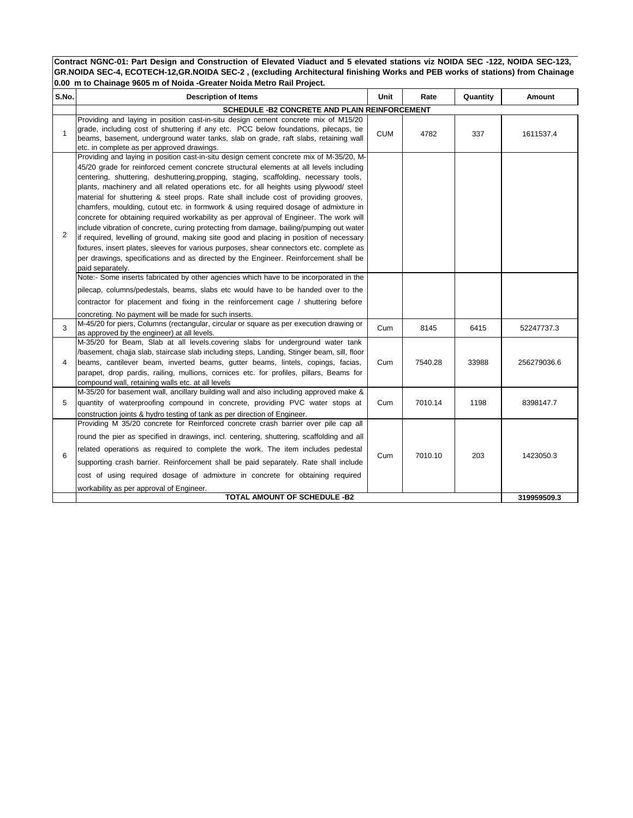| S.No.        | <b>Description of Items</b>                                                                                                                                                                                                                                                                                                                                                                                                                                                                                                                                                                                                                                                                                                                                                                                                                                                                                                                                                                                                                                                                                                          | Unit       | Rate    | Quantity | Amount      |
|--------------|--------------------------------------------------------------------------------------------------------------------------------------------------------------------------------------------------------------------------------------------------------------------------------------------------------------------------------------------------------------------------------------------------------------------------------------------------------------------------------------------------------------------------------------------------------------------------------------------------------------------------------------------------------------------------------------------------------------------------------------------------------------------------------------------------------------------------------------------------------------------------------------------------------------------------------------------------------------------------------------------------------------------------------------------------------------------------------------------------------------------------------------|------------|---------|----------|-------------|
|              | SCHEDULE - B2 CONCRETE AND PLAIN REINFORCEMENT                                                                                                                                                                                                                                                                                                                                                                                                                                                                                                                                                                                                                                                                                                                                                                                                                                                                                                                                                                                                                                                                                       |            |         |          |             |
| $\mathbf{1}$ | Providing and laying in position cast-in-situ design cement concrete mix of M15/20<br>grade, including cost of shuttering if any etc. PCC below foundations, pilecaps, tie<br>beams, basement, underground water tanks, slab on grade, raft slabs, retaining wall<br>etc. in complete as per approved drawings.                                                                                                                                                                                                                                                                                                                                                                                                                                                                                                                                                                                                                                                                                                                                                                                                                      | <b>CUM</b> | 4782    | 337      | 1611537.4   |
| 2            | Providing and laying in position cast-in-situ design cement concrete mix of M-35/20, M-<br>45/20 grade for reinforced cement concrete structural elements at all levels including<br>centering, shuttering, deshuttering, propping, staging, scaffolding, necessary tools,<br>plants, machinery and all related operations etc. for all heights using plywood/ steel<br>material for shuttering & steel props. Rate shall include cost of providing grooves,<br>chamfers, moulding, cutout etc. in formwork & using required dosage of admixture in<br>concrete for obtaining required workability as per approval of Engineer. The work will<br>include vibration of concrete, curing protecting from damage, bailing/pumping out water<br>if required, levelling of ground, making site good and placing in position of necessary<br>fixtures, insert plates, sleeves for various purposes, shear connectors etc. complete as<br>per drawings, specifications and as directed by the Engineer. Reinforcement shall be<br>paid separately.<br>Note:- Some inserts fabricated by other agencies which have to be incorporated in the |            |         |          |             |
|              | pilecap, columns/pedestals, beams, slabs etc would have to be handed over to the<br>contractor for placement and fixing in the reinforcement cage / shuttering before<br>concreting. No payment will be made for such inserts.                                                                                                                                                                                                                                                                                                                                                                                                                                                                                                                                                                                                                                                                                                                                                                                                                                                                                                       |            |         |          |             |
| 3            | M-45/20 for piers, Columns (rectangular, circular or square as per execution drawing or<br>as approved by the engineer) at all levels.                                                                                                                                                                                                                                                                                                                                                                                                                                                                                                                                                                                                                                                                                                                                                                                                                                                                                                                                                                                               | Cum        | 8145    | 6415     | 52247737.3  |
| 4            | M-35/20 for Beam, Slab at all levels.covering slabs for underground water tank<br>/basement, chajja slab, staircase slab including steps, Landing, Stinger beam, sill, floor<br>beams, cantilever beam, inverted beams, gutter beams, lintels, copings, facias,<br>parapet, drop pardis, railing, mullions, cornices etc. for profiles, pillars, Beams for<br>compound wall, retaining walls etc. at all levels                                                                                                                                                                                                                                                                                                                                                                                                                                                                                                                                                                                                                                                                                                                      | Cum        | 7540.28 | 33988    | 256279036.6 |
| 5            | M-35/20 for basement wall, ancillary building wall and also including approved make &<br>quantity of waterproofing compound in concrete, providing PVC water stops at<br>construction joints & hydro testing of tank as per direction of Engineer.                                                                                                                                                                                                                                                                                                                                                                                                                                                                                                                                                                                                                                                                                                                                                                                                                                                                                   | Cum        | 7010.14 | 1198     | 8398147.7   |
| 6            | Providing M 35/20 concrete for Reinforced concrete crash barrier over pile cap all<br>round the pier as specified in drawings, incl. centering, shuttering, scaffolding and all<br>related operations as required to complete the work. The item includes pedestal<br>supporting crash barrier. Reinforcement shall be paid separately. Rate shall include<br>cost of using required dosage of admixture in concrete for obtaining required<br>workability as per approval of Engineer.                                                                                                                                                                                                                                                                                                                                                                                                                                                                                                                                                                                                                                              | Cum        | 7010.10 | 203      | 1423050.3   |
|              | TOTAL AMOUNT OF SCHEDULE -B2                                                                                                                                                                                                                                                                                                                                                                                                                                                                                                                                                                                                                                                                                                                                                                                                                                                                                                                                                                                                                                                                                                         |            |         |          | 319959509.3 |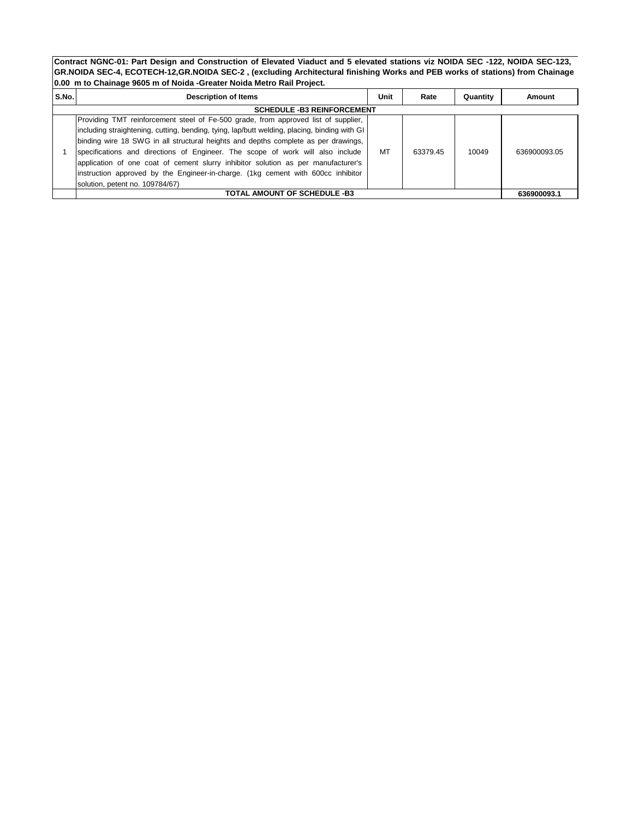| S.No. | <b>Description of Items</b>                                                                  | Unit | Rate     | Quantity | Amount       |
|-------|----------------------------------------------------------------------------------------------|------|----------|----------|--------------|
|       | <b>SCHEDULE -B3 REINFORCEMENT</b>                                                            |      |          |          |              |
|       | Providing TMT reinforcement steel of Fe-500 grade, from approved list of supplier,           |      |          |          |              |
|       | including straightening, cutting, bending, tying, lap/butt welding, placing, binding with GI |      |          |          |              |
|       | binding wire 18 SWG in all structural heights and depths complete as per drawings,           |      |          |          |              |
|       | specifications and directions of Engineer. The scope of work will also include               | MT   | 63379.45 | 10049    | 636900093.05 |
|       | application of one coat of cement slurry inhibitor solution as per manufacturer's            |      |          |          |              |
|       | instruction approved by the Engineer-in-charge. (1kg cement with 600cc inhibitor             |      |          |          |              |
|       | solution, petent no. 109784/67)                                                              |      |          |          |              |
|       | TOTAL AMOUNT OF SCHEDULE -B3                                                                 |      |          |          | 636900093.1  |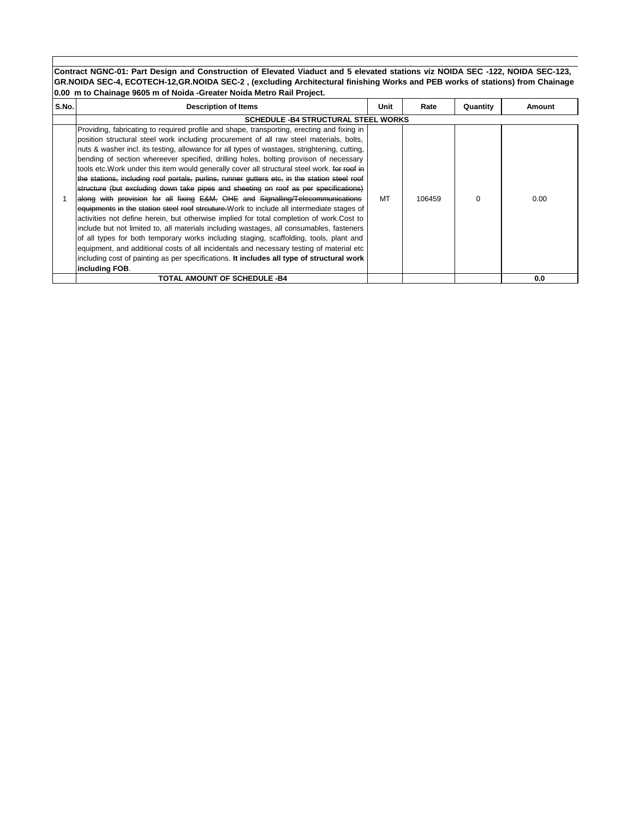| S.No. | <b>Description of Items</b>                                                                                                                                                                                                                                                                                                                                                                                                                                                                                                                                                                                                                                                                                                                                                                                                                                                                                                                                                                                                                                                                                                                                                                                                                                                                                                                         | Unit | Rate   | Quantity | Amount |
|-------|-----------------------------------------------------------------------------------------------------------------------------------------------------------------------------------------------------------------------------------------------------------------------------------------------------------------------------------------------------------------------------------------------------------------------------------------------------------------------------------------------------------------------------------------------------------------------------------------------------------------------------------------------------------------------------------------------------------------------------------------------------------------------------------------------------------------------------------------------------------------------------------------------------------------------------------------------------------------------------------------------------------------------------------------------------------------------------------------------------------------------------------------------------------------------------------------------------------------------------------------------------------------------------------------------------------------------------------------------------|------|--------|----------|--------|
|       | <b>SCHEDULE - B4 STRUCTURAL STEEL WORKS</b>                                                                                                                                                                                                                                                                                                                                                                                                                                                                                                                                                                                                                                                                                                                                                                                                                                                                                                                                                                                                                                                                                                                                                                                                                                                                                                         |      |        |          |        |
|       | Providing, fabricating to required profile and shape, transporting, erecting and fixing in<br>position structural steel work including procurement of all raw steel materials, bolts,<br>nuts & washer incl. its testing, allowance for all types of wastages, strightening, cutting,<br>bending of section whereever specified, drilling holes, bolting provison of necessary<br>tools etc. Work under this item would generally cover all structural steel work. for roof in<br>the stations, including roof portals, purlins, runner gutters etc, in the station steel roof<br>structure (but excluding down take pipes and sheeting on roof as per specifications)<br>along with provision for all fixing E&M, OHE and Signalling/Telecommunications<br>equipments in the station steel roof streuture. Work to include all intermediate stages of<br>activities not define herein, but otherwise implied for total completion of work.Cost to<br>include but not limited to, all materials including wastages, all consumables, fasteners<br>of all types for both temporary works including staging, scaffolding, tools, plant and<br>equipment, and additional costs of all incidentals and necessary testing of material etc<br>including cost of painting as per specifications. It includes all type of structural work<br>including FOB. | МT   | 106459 | $\Omega$ | 0.00   |
|       | TOTAL AMOUNT OF SCHEDULE -B4                                                                                                                                                                                                                                                                                                                                                                                                                                                                                                                                                                                                                                                                                                                                                                                                                                                                                                                                                                                                                                                                                                                                                                                                                                                                                                                        |      |        |          | 0.0    |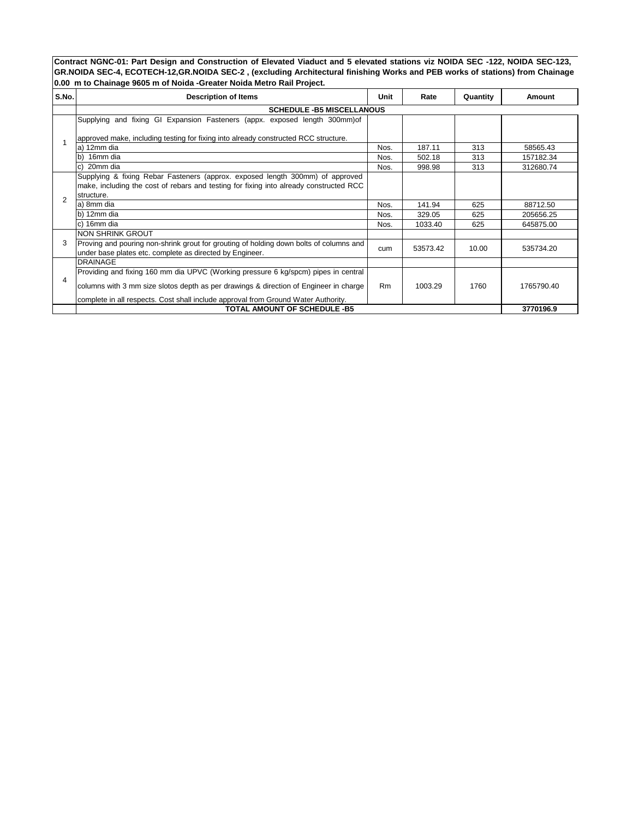| S.No.          | <b>Description of Items</b>                                                                                                                                                           | Unit           | Rate     | Quantity | Amount     |
|----------------|---------------------------------------------------------------------------------------------------------------------------------------------------------------------------------------|----------------|----------|----------|------------|
|                | <b>SCHEDULE -B5 MISCELLANOUS</b>                                                                                                                                                      |                |          |          |            |
|                | Supplying and fixing GI Expansion Fasteners (appx. exposed length 300mm) of                                                                                                           |                |          |          |            |
|                | approved make, including testing for fixing into already constructed RCC structure.                                                                                                   |                |          |          |            |
|                | a) 12mm dia                                                                                                                                                                           | Nos.           | 187.11   | 313      | 58565.43   |
|                | 16mm dia<br>b)                                                                                                                                                                        | Nos.           | 502.18   | 313      | 157182.34  |
|                | 20mm dia<br>C)                                                                                                                                                                        | Nos.           | 998.98   | 313      | 312680.74  |
| $\mathfrak{p}$ | Supplying & fixing Rebar Fasteners (approx. exposed length 300mm) of approved<br>make, including the cost of rebars and testing for fixing into already constructed RCC<br>structure. |                |          |          |            |
|                | a) 8mm dia                                                                                                                                                                            | Nos.           | 141.94   | 625      | 88712.50   |
|                | b) 12mm dia                                                                                                                                                                           | Nos.           | 329.05   | 625      | 205656.25  |
|                | c) 16mm dia                                                                                                                                                                           | Nos.           | 1033.40  | 625      | 645875.00  |
|                | NON SHRINK GROUT                                                                                                                                                                      |                |          |          |            |
| 3              | Proving and pouring non-shrink grout for grouting of holding down bolts of columns and<br>under base plates etc. complete as directed by Engineer.                                    | cum            | 53573.42 | 10.00    | 535734.20  |
|                | <b>DRAINAGE</b>                                                                                                                                                                       |                |          |          |            |
|                | Providing and fixing 160 mm dia UPVC (Working pressure 6 kg/spcm) pipes in central                                                                                                    |                |          |          |            |
| 4              | columns with 3 mm size slotos depth as per drawings & direction of Engineer in charge                                                                                                 | R <sub>m</sub> | 1003.29  | 1760     | 1765790.40 |
|                | complete in all respects. Cost shall include approval from Ground Water Authority.                                                                                                    |                |          |          |            |
|                | <b>TOTAL AMOUNT OF SCHEDULE -B5</b>                                                                                                                                                   |                |          |          | 3770196.9  |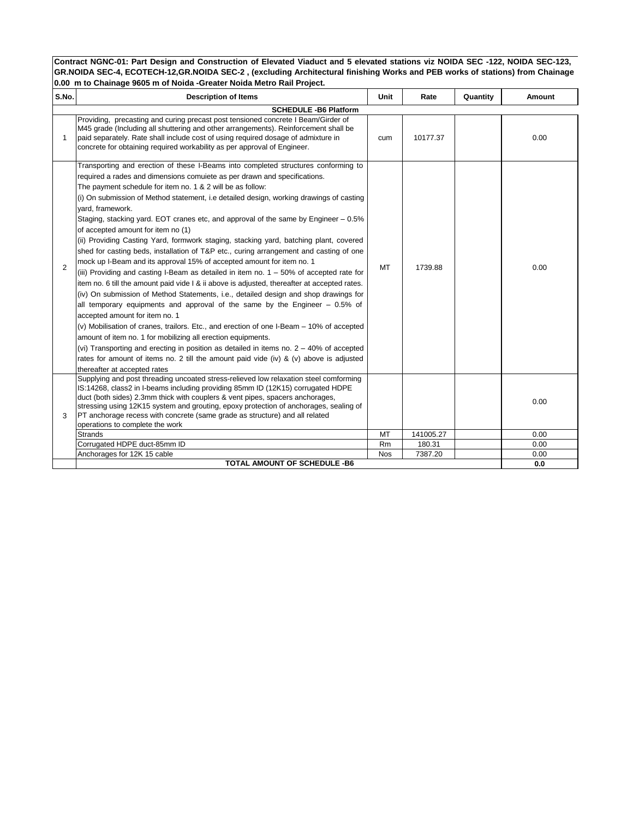| S.No.          | <b>Description of Items</b>                                                                                                                                                                                                                                                                                                                                                                                                                                                                                                                                                                                                                                                                                                                                                                                                                                                                                                                                                                                                                                                                                                                                                                                                                                                                                                                                                                                                                                                                                                          | Unit       | Rate      | Quantity | Amount |  |  |  |  |  |
|----------------|--------------------------------------------------------------------------------------------------------------------------------------------------------------------------------------------------------------------------------------------------------------------------------------------------------------------------------------------------------------------------------------------------------------------------------------------------------------------------------------------------------------------------------------------------------------------------------------------------------------------------------------------------------------------------------------------------------------------------------------------------------------------------------------------------------------------------------------------------------------------------------------------------------------------------------------------------------------------------------------------------------------------------------------------------------------------------------------------------------------------------------------------------------------------------------------------------------------------------------------------------------------------------------------------------------------------------------------------------------------------------------------------------------------------------------------------------------------------------------------------------------------------------------------|------------|-----------|----------|--------|--|--|--|--|--|
|                | <b>SCHEDULE -B6 Platform</b>                                                                                                                                                                                                                                                                                                                                                                                                                                                                                                                                                                                                                                                                                                                                                                                                                                                                                                                                                                                                                                                                                                                                                                                                                                                                                                                                                                                                                                                                                                         |            |           |          |        |  |  |  |  |  |
| 1              | Providing, precasting and curing precast post tensioned concrete I Beam/Girder of<br>M45 grade (Including all shuttering and other arrangements). Reinforcement shall be<br>paid separately. Rate shall include cost of using required dosage of admixture in<br>concrete for obtaining required workability as per approval of Engineer.                                                                                                                                                                                                                                                                                                                                                                                                                                                                                                                                                                                                                                                                                                                                                                                                                                                                                                                                                                                                                                                                                                                                                                                            | cum        | 10177.37  |          | 0.00   |  |  |  |  |  |
| $\overline{2}$ | Transporting and erection of these I-Beams into completed structures conforming to<br>required a rades and dimensions comulete as per drawn and specifications.<br>The payment schedule for item no. 1 & 2 will be as follow:<br>(i) On submission of Method statement, i.e detailed design, working drawings of casting<br>vard, framework.<br>Staging, stacking yard. EOT cranes etc, and approval of the same by Engineer $-0.5\%$<br>of accepted amount for item no (1)<br>(ii) Providing Casting Yard, formwork staging, stacking yard, batching plant, covered<br>shed for casting beds, installation of T&P etc., curing arrangement and casting of one<br>mock up I-Beam and its approval 15% of accepted amount for item no. 1<br>(iii) Providing and casting I-Beam as detailed in item no. $1 - 50\%$ of accepted rate for<br>item no. 6 till the amount paid vide I & ii above is adjusted, thereafter at accepted rates.<br>(iv) On submission of Method Statements, i.e., detailed design and shop drawings for<br>all temporary equipments and approval of the same by the Engineer $-0.5\%$ of<br>accepted amount for item no. 1<br>(v) Mobilisation of cranes, trailors. Etc., and erection of one I-Beam – 10% of accepted<br>amount of item no. 1 for mobilizing all erection equipments.<br>(vi) Transporting and erecting in position as detailed in items no. $2 - 40\%$ of accepted<br>rates for amount of items no. 2 till the amount paid vide (iv) & (v) above is adjusted<br>thereafter at accepted rates | <b>MT</b>  | 1739.88   |          | 0.00   |  |  |  |  |  |
| 3              | Supplying and post threading uncoated stress-relieved low relaxation steel comforming<br>IS:14268, class2 in I-beams including providing 85mm ID (12K15) corrugated HDPE<br>duct (both sides) 2.3mm thick with couplers & vent pipes, spacers anchorages,<br>stressing using 12K15 system and grouting, epoxy protection of anchorages, sealing of<br>PT anchorage recess with concrete (same grade as structure) and all related<br>operations to complete the work                                                                                                                                                                                                                                                                                                                                                                                                                                                                                                                                                                                                                                                                                                                                                                                                                                                                                                                                                                                                                                                                 |            |           |          | 0.00   |  |  |  |  |  |
|                | <b>Strands</b>                                                                                                                                                                                                                                                                                                                                                                                                                                                                                                                                                                                                                                                                                                                                                                                                                                                                                                                                                                                                                                                                                                                                                                                                                                                                                                                                                                                                                                                                                                                       | MT         | 141005.27 |          | 0.00   |  |  |  |  |  |
|                | Corrugated HDPE duct-85mm ID                                                                                                                                                                                                                                                                                                                                                                                                                                                                                                                                                                                                                                                                                                                                                                                                                                                                                                                                                                                                                                                                                                                                                                                                                                                                                                                                                                                                                                                                                                         | Rm         | 180.31    |          | 0.00   |  |  |  |  |  |
|                | Anchorages for 12K 15 cable                                                                                                                                                                                                                                                                                                                                                                                                                                                                                                                                                                                                                                                                                                                                                                                                                                                                                                                                                                                                                                                                                                                                                                                                                                                                                                                                                                                                                                                                                                          | <b>Nos</b> | 7387.20   |          | 0.00   |  |  |  |  |  |
|                | <b>TOTAL AMOUNT OF SCHEDULE -B6</b>                                                                                                                                                                                                                                                                                                                                                                                                                                                                                                                                                                                                                                                                                                                                                                                                                                                                                                                                                                                                                                                                                                                                                                                                                                                                                                                                                                                                                                                                                                  |            |           |          | 0.0    |  |  |  |  |  |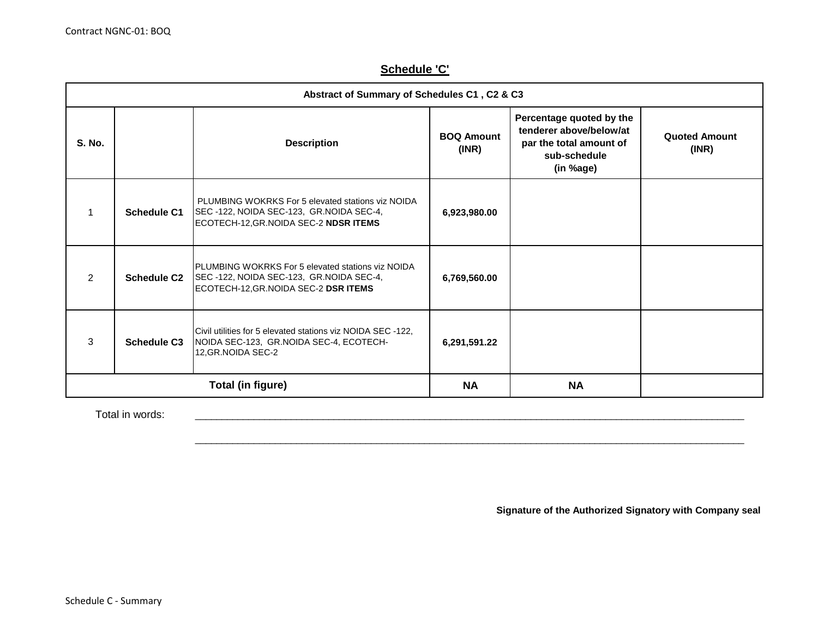# **Schedule 'C'**

|               | Abstract of Summary of Schedules C1, C2 & C3 |                                                                                                                                               |                            |                                                                                                             |                               |  |  |  |
|---------------|----------------------------------------------|-----------------------------------------------------------------------------------------------------------------------------------------------|----------------------------|-------------------------------------------------------------------------------------------------------------|-------------------------------|--|--|--|
| S. No.        |                                              | <b>Description</b>                                                                                                                            | <b>BOQ Amount</b><br>(INR) | Percentage quoted by the<br>tenderer above/below/at<br>par the total amount of<br>sub-schedule<br>(in %age) | <b>Quoted Amount</b><br>(INR) |  |  |  |
|               | <b>Schedule C1</b>                           | PLUMBING WOKRKS For 5 elevated stations viz NOIDA<br>SEC-122, NOIDA SEC-123, GR.NOIDA SEC-4,<br>ECOTECH-12, GR. NOIDA SEC-2 NDSRITEMS         | 6,923,980.00               |                                                                                                             |                               |  |  |  |
| $\mathcal{P}$ | <b>Schedule C2</b>                           | <b>IPLUMBING WOKRKS For 5 elevated stations viz NOIDA</b><br>SEC-122, NOIDA SEC-123, GR. NOIDA SEC-4,<br>ECOTECH-12, GR. NOIDA SEC-2 DSRITEMS | 6,769,560.00               |                                                                                                             |                               |  |  |  |
| 3             | <b>Schedule C3</b>                           | Civil utilities for 5 elevated stations viz NOIDA SEC -122,<br>NOIDA SEC-123, GR.NOIDA SEC-4, ECOTECH-<br>12, GR. NOIDA SEC-2                 | 6,291,591.22               |                                                                                                             |                               |  |  |  |
|               |                                              | Total (in figure)                                                                                                                             | <b>NA</b>                  | <b>NA</b>                                                                                                   |                               |  |  |  |

\_\_\_\_\_\_\_\_\_\_\_\_\_\_\_\_\_\_\_\_\_\_\_\_\_\_\_\_\_\_\_\_\_\_\_\_\_\_\_\_\_\_\_\_\_\_\_\_\_\_\_\_\_\_\_\_\_\_\_\_\_\_\_\_\_\_\_\_\_\_\_\_\_\_\_\_\_\_\_\_\_\_\_\_\_\_\_\_\_\_\_\_\_\_\_\_\_\_\_\_\_\_\_

\_\_\_\_\_\_\_\_\_\_\_\_\_\_\_\_\_\_\_\_\_\_\_\_\_\_\_\_\_\_\_\_\_\_\_\_\_\_\_\_\_\_\_\_\_\_\_\_\_\_\_\_\_\_\_\_\_\_\_\_\_\_\_\_\_\_\_\_\_\_\_\_\_\_\_\_\_\_\_\_\_\_\_\_\_\_\_\_\_\_\_\_\_\_\_\_\_\_\_\_\_\_\_

Total in words:

**Signature of the Authorized Signatory with Company seal**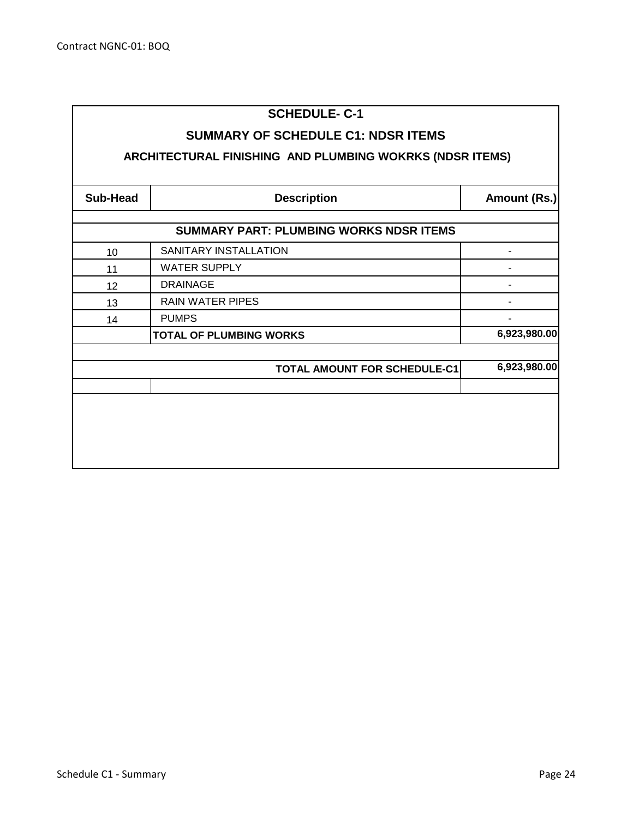# **SCHEDULE- C-1**

# **SUMMARY OF SCHEDULE C1: NDSR ITEMS**

# **ARCHITECTURAL FINISHING AND PLUMBING WOKRKS (NDSR ITEMS)**

| <b>Sub-Head</b> | <b>Description</b>                             | Amount (Rs.) |
|-----------------|------------------------------------------------|--------------|
|                 | <b>SUMMARY PART: PLUMBING WORKS NDSR ITEMS</b> |              |
|                 |                                                |              |
| 10              | SANITARY INSTALLATION                          | -            |
| 11              | <b>WATER SUPPLY</b>                            |              |
| 12              | <b>DRAINAGE</b>                                |              |
| 13              | <b>RAIN WATER PIPES</b>                        |              |
| 14              | <b>PUMPS</b>                                   |              |
|                 | <b>TOTAL OF PLUMBING WORKS</b>                 | 6,923,980.00 |
|                 |                                                |              |
|                 | <b>TOTAL AMOUNT FOR SCHEDULE-C1</b>            | 6,923,980.00 |
|                 |                                                |              |
|                 |                                                |              |
|                 |                                                |              |
|                 |                                                |              |
|                 |                                                |              |
|                 |                                                |              |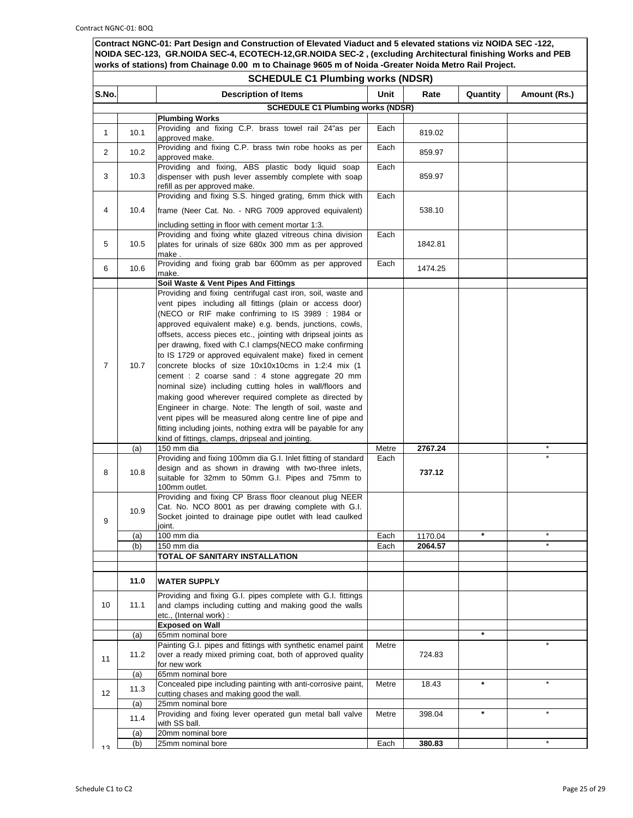|                | <b>SCHEDULE C1 Plumbing works (NDSR)</b> |                                                                                                                                                                                                                                                                                                                                                                                                                                                                                                                                                                                                                                                                                                                                                                                                                                                                                                                                                                                              |               |                    |          |              |
|----------------|------------------------------------------|----------------------------------------------------------------------------------------------------------------------------------------------------------------------------------------------------------------------------------------------------------------------------------------------------------------------------------------------------------------------------------------------------------------------------------------------------------------------------------------------------------------------------------------------------------------------------------------------------------------------------------------------------------------------------------------------------------------------------------------------------------------------------------------------------------------------------------------------------------------------------------------------------------------------------------------------------------------------------------------------|---------------|--------------------|----------|--------------|
| S.No.          |                                          | <b>Description of Items</b>                                                                                                                                                                                                                                                                                                                                                                                                                                                                                                                                                                                                                                                                                                                                                                                                                                                                                                                                                                  | Unit          | Rate               | Quantity | Amount (Rs.) |
|                |                                          | <b>SCHEDULE C1 Plumbing works (NDSR)</b>                                                                                                                                                                                                                                                                                                                                                                                                                                                                                                                                                                                                                                                                                                                                                                                                                                                                                                                                                     |               |                    |          |              |
|                |                                          | <b>Plumbing Works</b>                                                                                                                                                                                                                                                                                                                                                                                                                                                                                                                                                                                                                                                                                                                                                                                                                                                                                                                                                                        |               |                    |          |              |
| $\mathbf{1}$   | 10.1                                     | Providing and fixing C.P. brass towel rail 24"as per<br>approved make.                                                                                                                                                                                                                                                                                                                                                                                                                                                                                                                                                                                                                                                                                                                                                                                                                                                                                                                       | Each          | 819.02             |          |              |
| $\overline{2}$ | 10.2 <sub>2</sub>                        | Providing and fixing C.P. brass twin robe hooks as per<br>approved make.                                                                                                                                                                                                                                                                                                                                                                                                                                                                                                                                                                                                                                                                                                                                                                                                                                                                                                                     | Each          | 859.97             |          |              |
| 3              | 10.3                                     | Providing and fixing, ABS plastic body liquid soap<br>dispenser with push lever assembly complete with soap<br>refill as per approved make.                                                                                                                                                                                                                                                                                                                                                                                                                                                                                                                                                                                                                                                                                                                                                                                                                                                  | Each          | 859.97             |          |              |
| 4              | 10.4                                     | Providing and fixing S.S. hinged grating, 6mm thick with<br>frame (Neer Cat. No. - NRG 7009 approved equivalent)                                                                                                                                                                                                                                                                                                                                                                                                                                                                                                                                                                                                                                                                                                                                                                                                                                                                             | Each          | 538.10             |          |              |
| 5              | 10.5                                     | including setting in floor with cement mortar 1:3.<br>Providing and fixing white glazed vitreous china division<br>plates for urinals of size 680x 300 mm as per approved<br>make.                                                                                                                                                                                                                                                                                                                                                                                                                                                                                                                                                                                                                                                                                                                                                                                                           | Each          | 1842.81            |          |              |
| 6              | 10.6                                     | Providing and fixing grab bar 600mm as per approved<br>make.                                                                                                                                                                                                                                                                                                                                                                                                                                                                                                                                                                                                                                                                                                                                                                                                                                                                                                                                 | Each          | 1474.25            |          |              |
|                |                                          | Soil Waste & Vent Pipes And Fittings                                                                                                                                                                                                                                                                                                                                                                                                                                                                                                                                                                                                                                                                                                                                                                                                                                                                                                                                                         |               |                    |          |              |
| 7              | 10.7<br>(a)                              | Providing and fixing centrifugal cast iron, soil, waste and<br>vent pipes including all fittings (plain or access door)<br>(NECO or RIF make confriming to IS 3989 : 1984 or<br>approved equivalent make) e.g. bends, junctions, cowls,<br>offsets, access pieces etc., jointing with dripseal joints as<br>per drawing, fixed with C.I clamps(NECO make confirming<br>to IS 1729 or approved equivalent make) fixed in cement<br>concrete blocks of size 10x10x10cms in 1:2:4 mix (1<br>cement : 2 coarse sand : 4 stone aggregate 20 mm<br>nominal size) including cutting holes in wall/floors and<br>making good wherever required complete as directed by<br>Engineer in charge. Note: The length of soil, waste and<br>vent pipes will be measured along centre line of pipe and<br>fitting including joints, nothing extra will be payable for any<br>kind of fittings, clamps, dripseal and jointing.<br>150 mm dia<br>Providing and fixing 100mm dia G.I. Inlet fitting of standard | Metre<br>Each | 2767.24            |          | $\star$      |
| 8              | 10.8                                     | design and as shown in drawing with two-three inlets,<br>suitable for 32mm to 50mm G.I. Pipes and 75mm to<br>100mm outlet.                                                                                                                                                                                                                                                                                                                                                                                                                                                                                                                                                                                                                                                                                                                                                                                                                                                                   |               | 737.12             |          |              |
| 9              | 10.9<br>$\overline{a}$<br>(b)            | Providing and fixing CP Brass floor cleanout plug NEER<br>Cat. No. NCO 8001 as per drawing complete with G.I.<br>Socket jointed to drainage pipe outlet with lead caulked<br>joint.<br>100 mm dia<br>150 mm dia                                                                                                                                                                                                                                                                                                                                                                                                                                                                                                                                                                                                                                                                                                                                                                              | Each<br>Each  | 1170.04<br>2064.57 |          |              |
|                |                                          | TOTAL OF SANITARY INSTALLATION                                                                                                                                                                                                                                                                                                                                                                                                                                                                                                                                                                                                                                                                                                                                                                                                                                                                                                                                                               |               |                    |          |              |
|                |                                          |                                                                                                                                                                                                                                                                                                                                                                                                                                                                                                                                                                                                                                                                                                                                                                                                                                                                                                                                                                                              |               |                    |          |              |
| 10             | 11.0<br>11.1                             | <b>WATER SUPPLY</b><br>Providing and fixing G.I. pipes complete with G.I. fittings<br>and clamps including cutting and making good the walls                                                                                                                                                                                                                                                                                                                                                                                                                                                                                                                                                                                                                                                                                                                                                                                                                                                 |               |                    |          |              |
|                |                                          | etc., (Internal work) :<br><b>Exposed on Wall</b>                                                                                                                                                                                                                                                                                                                                                                                                                                                                                                                                                                                                                                                                                                                                                                                                                                                                                                                                            |               |                    |          |              |
|                | (a)                                      | 65mm nominal bore                                                                                                                                                                                                                                                                                                                                                                                                                                                                                                                                                                                                                                                                                                                                                                                                                                                                                                                                                                            |               |                    | $\star$  |              |
| 11             | 11.2                                     | Painting G.I. pipes and fittings with synthetic enamel paint<br>over a ready mixed priming coat, both of approved quality<br>for new work                                                                                                                                                                                                                                                                                                                                                                                                                                                                                                                                                                                                                                                                                                                                                                                                                                                    | Metre         | 724.83             |          |              |
|                | (a)                                      | 65mm nominal bore                                                                                                                                                                                                                                                                                                                                                                                                                                                                                                                                                                                                                                                                                                                                                                                                                                                                                                                                                                            |               |                    |          |              |
| 12             | 11.3                                     | Concealed pipe including painting with anti-corrosive paint,<br>cutting chases and making good the wall.                                                                                                                                                                                                                                                                                                                                                                                                                                                                                                                                                                                                                                                                                                                                                                                                                                                                                     | Metre         | 18.43              | $\star$  |              |
|                | (a)<br>11.4                              | 25mm nominal bore<br>Providing and fixing lever operated gun metal ball valve<br>with SS ball.                                                                                                                                                                                                                                                                                                                                                                                                                                                                                                                                                                                                                                                                                                                                                                                                                                                                                               | Metre         | 398.04             | $\star$  |              |
|                | (a)                                      | 20mm nominal bore                                                                                                                                                                                                                                                                                                                                                                                                                                                                                                                                                                                                                                                                                                                                                                                                                                                                                                                                                                            |               |                    |          |              |
| 12             | (b)                                      | 25mm nominal bore                                                                                                                                                                                                                                                                                                                                                                                                                                                                                                                                                                                                                                                                                                                                                                                                                                                                                                                                                                            | Each          | 380.83             |          |              |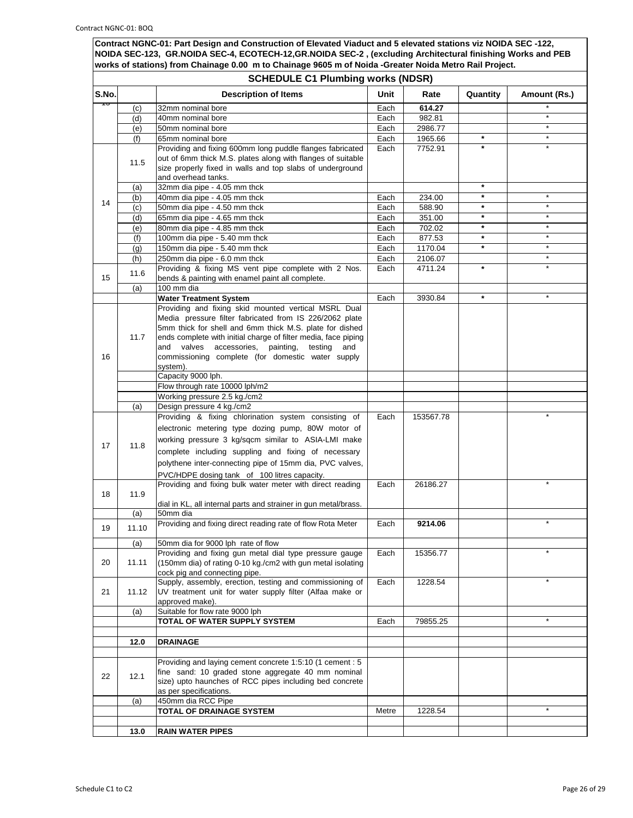|       | <b>SCHEDULE C1 Plumbing works (NDSR)</b> |                                                                                                                      |       |           |          |              |
|-------|------------------------------------------|----------------------------------------------------------------------------------------------------------------------|-------|-----------|----------|--------------|
| S.No. |                                          | <b>Description of Items</b>                                                                                          | Unit  | Rate      | Quantity | Amount (Rs.) |
| ᡉ     | (c)                                      | 32mm nominal bore                                                                                                    | Each  | 614.27    |          |              |
|       | (d)                                      | 40mm nominal bore                                                                                                    | Each  | 982.81    |          | $\star$      |
|       | (e)                                      | 50mm nominal bore                                                                                                    | Each  | 2986.77   |          | $\star$      |
|       | (f)                                      | 65mm nominal bore                                                                                                    | Each  | 1965.66   | $\star$  | $\star$      |
|       |                                          | Providing and fixing 600mm long puddle flanges fabricated                                                            | Each  | 7752.91   | $\star$  | $\star$      |
|       | 11.5                                     | out of 6mm thick M.S. plates along with flanges of suitable                                                          |       |           |          |              |
|       |                                          | size properly fixed in walls and top slabs of underground<br>and overhead tanks.                                     |       |           |          |              |
|       | (a)                                      | 32mm dia pipe - 4.05 mm thck                                                                                         |       |           | $\star$  |              |
|       | (b)                                      | 40mm dia pipe - 4.05 mm thck                                                                                         | Each  | 234.00    | $\star$  |              |
| 14    | (c)                                      | 50mm dia pipe - 4.50 mm thck                                                                                         | Each  | 588.90    | $\star$  | $\star$      |
|       | (d)                                      | 65mm dia pipe - 4.65 mm thck                                                                                         | Each  | 351.00    | $\star$  | $\star$      |
|       | (e)                                      | 80mm dia pipe - 4.85 mm thck                                                                                         | Each  | 702.02    | $\star$  | $\star$      |
|       | (f)                                      | 100mm dia pipe - 5.40 mm thck                                                                                        | Each  | 877.53    | $\star$  | $\star$      |
|       | (g)                                      | 150mm dia pipe - 5.40 mm thck                                                                                        | Each  | 1170.04   | $\star$  | $\star$      |
|       | (h)                                      | 250mm dia pipe - 6.0 mm thck                                                                                         | Each  | 2106.07   |          | $\star$      |
|       | 11.6                                     | Providing & fixing MS vent pipe complete with 2 Nos.                                                                 | Each  | 4711.24   | $\star$  |              |
| 15    |                                          | bends & painting with enamel paint all complete.<br>100 mm dia                                                       |       |           |          |              |
|       | (a)                                      | <b>Water Treatment System</b>                                                                                        | Each  | 3930.84   | $\star$  | $\star$      |
|       |                                          | Providing and fixing skid mounted vertical MSRL Dual                                                                 |       |           |          |              |
|       |                                          | Media pressure filter fabricated from IS 226/2062 plate                                                              |       |           |          |              |
|       |                                          | 5mm thick for shell and 6mm thick M.S. plate for dished                                                              |       |           |          |              |
|       | 11.7                                     | ends complete with initial charge of filter media, face piping                                                       |       |           |          |              |
|       |                                          | valves<br>accessories,<br>painting,<br>testing<br>and<br>and                                                         |       |           |          |              |
| 16    |                                          | commissioning complete (for domestic water supply                                                                    |       |           |          |              |
|       |                                          | system).<br>Capacity 9000 lph.                                                                                       |       |           |          |              |
|       |                                          | Flow through rate 10000 lph/m2                                                                                       |       |           |          |              |
|       |                                          | Working pressure 2.5 kg./cm2                                                                                         |       |           |          |              |
|       | (a)                                      | Design pressure 4 kg./cm2                                                                                            |       |           |          |              |
|       |                                          | Providing & fixing chlorination system consisting of                                                                 | Each  | 153567.78 |          |              |
|       |                                          | electronic metering type dozing pump, 80W motor of                                                                   |       |           |          |              |
|       |                                          | working pressure 3 kg/sqcm similar to ASIA-LMI make                                                                  |       |           |          |              |
| 17    | 11.8                                     | complete including suppling and fixing of necessary                                                                  |       |           |          |              |
|       |                                          | polythene inter-connecting pipe of 15mm dia, PVC valves,                                                             |       |           |          |              |
|       |                                          | PVC/HDPE dosing tank of 100 litres capacity.                                                                         |       |           |          |              |
|       |                                          | Providing and fixing bulk water meter with direct reading                                                            | Each  | 26186.27  |          |              |
| 18    | 11.9                                     |                                                                                                                      |       |           |          |              |
|       |                                          | dial in KL, all internal parts and strainer in gun metal/brass.                                                      |       |           |          |              |
|       | (a)                                      | 50mm dia                                                                                                             |       |           |          |              |
| 19    | 11.10                                    | Providing and fixing direct reading rate of flow Rota Meter                                                          | Each  | 9214.06   |          |              |
|       | (a)                                      | 50mm dia for 9000 lph rate of flow                                                                                   |       |           |          |              |
|       |                                          | Providing and fixing gun metal dial type pressure gauge                                                              | Each  | 15356.77  |          |              |
| 20    | 11.11                                    | (150mm dia) of rating 0-10 kg./cm2 with gun metal isolating                                                          |       |           |          |              |
|       |                                          | cock pig and connecting pipe.                                                                                        |       |           |          |              |
| 21    | 11.12                                    | Supply, assembly, erection, testing and commissioning of<br>UV treatment unit for water supply filter (Alfaa make or | Each  | 1228.54   |          | $\star$      |
|       |                                          | approved make).                                                                                                      |       |           |          |              |
|       | (a)                                      | Suitable for flow rate 9000 lph                                                                                      |       |           |          |              |
|       |                                          | <b>TOTAL OF WATER SUPPLY SYSTEM</b>                                                                                  | Each  | 79855.25  |          | $\star$      |
|       |                                          |                                                                                                                      |       |           |          |              |
|       | 12.0                                     | <b>DRAINAGE</b>                                                                                                      |       |           |          |              |
|       |                                          |                                                                                                                      |       |           |          |              |
|       |                                          | Providing and laying cement concrete 1:5:10 (1 cement : 5<br>fine sand: 10 graded stone aggregate 40 mm nominal      |       |           |          |              |
| 22    | 12.1                                     | size) upto haunches of RCC pipes including bed concrete                                                              |       |           |          |              |
|       |                                          | as per specifications.                                                                                               |       |           |          |              |
|       | (a)                                      | 450mm dia RCC Pipe                                                                                                   |       |           |          |              |
|       |                                          | <b>TOTAL OF DRAINAGE SYSTEM</b>                                                                                      | Metre | 1228.54   |          | $\star$      |
|       |                                          |                                                                                                                      |       |           |          |              |
|       | 13.0                                     | <b>RAIN WATER PIPES</b>                                                                                              |       |           |          |              |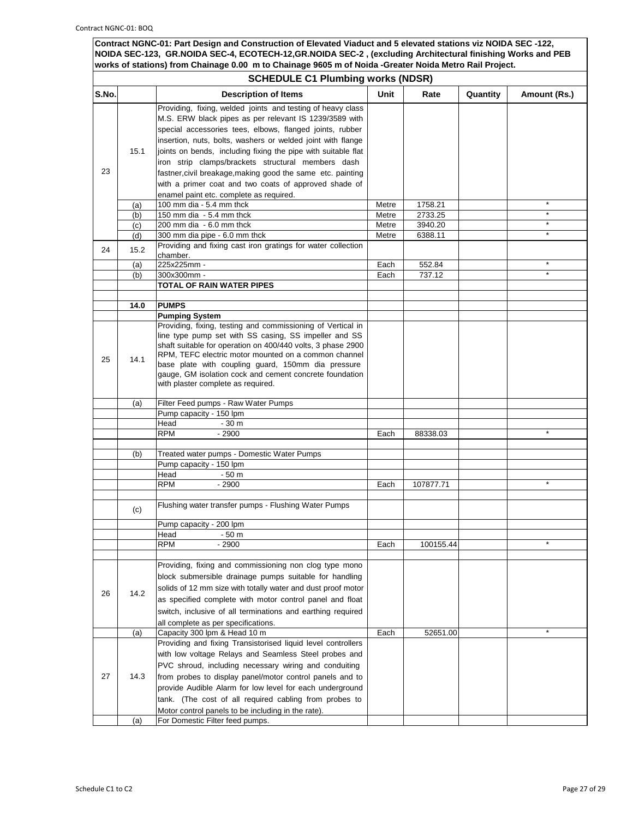|       | <b>SCHEDULE C1 Plumbing works (NDSR)</b> |                                                                                                                                                                                                                                                                                                                                                                                                                                                                                                 |       |           |          |              |  |
|-------|------------------------------------------|-------------------------------------------------------------------------------------------------------------------------------------------------------------------------------------------------------------------------------------------------------------------------------------------------------------------------------------------------------------------------------------------------------------------------------------------------------------------------------------------------|-------|-----------|----------|--------------|--|
| S.No. |                                          | <b>Description of Items</b>                                                                                                                                                                                                                                                                                                                                                                                                                                                                     | Unit  | Rate      | Quantity | Amount (Rs.) |  |
| 23    | 15.1                                     | Providing, fixing, welded joints and testing of heavy class<br>M.S. ERW black pipes as per relevant IS 1239/3589 with<br>special accessories tees, elbows, flanged joints, rubber<br>insertion, nuts, bolts, washers or welded joint with flange<br>joints on bends, including fixing the pipe with suitable flat<br>iron strip clamps/brackets structural members dash<br>fastner, civil breakage, making good the same etc. painting<br>with a primer coat and two coats of approved shade of |       |           |          |              |  |
|       | (a)                                      | enamel paint etc. complete as required.<br>100 mm dia - 5.4 mm thck                                                                                                                                                                                                                                                                                                                                                                                                                             | Metre | 1758.21   |          | $\star$      |  |
|       | (b)                                      | 150 mm dia $-5.4$ mm thck                                                                                                                                                                                                                                                                                                                                                                                                                                                                       | Metre | 2733.25   |          | $\star$      |  |
|       | (c)                                      | 200 mm dia - 6.0 mm thck                                                                                                                                                                                                                                                                                                                                                                                                                                                                        | Metre | 3940.20   |          |              |  |
|       | (d)                                      | 300 mm dia pipe - 6.0 mm thck                                                                                                                                                                                                                                                                                                                                                                                                                                                                   | Metre | 6388.11   |          | $\star$      |  |
| 24    | 15.2                                     | Providing and fixing cast iron gratings for water collection<br>chamber.                                                                                                                                                                                                                                                                                                                                                                                                                        |       |           |          |              |  |
|       | (a)                                      | 225x225mm -                                                                                                                                                                                                                                                                                                                                                                                                                                                                                     | Each  | 552.84    |          | $\star$      |  |
|       | (b)                                      | 300x300mm -                                                                                                                                                                                                                                                                                                                                                                                                                                                                                     | Each  | 737.12    |          |              |  |
|       |                                          | <b>TOTAL OF RAIN WATER PIPES</b>                                                                                                                                                                                                                                                                                                                                                                                                                                                                |       |           |          |              |  |
|       | 14.0                                     | <b>PUMPS</b>                                                                                                                                                                                                                                                                                                                                                                                                                                                                                    |       |           |          |              |  |
|       |                                          | <b>Pumping System</b>                                                                                                                                                                                                                                                                                                                                                                                                                                                                           |       |           |          |              |  |
| 25    | 14.1                                     | Providing, fixing, testing and commissioning of Vertical in<br>line type pump set with SS casing, SS impeller and SS<br>shaft suitable for operation on 400/440 volts, 3 phase 2900<br>RPM, TEFC electric motor mounted on a common channel<br>base plate with coupling guard, 150mm dia pressure<br>gauge, GM isolation cock and cement concrete foundation<br>with plaster complete as required.                                                                                              |       |           |          |              |  |
|       | (a)                                      | Filter Feed pumps - Raw Water Pumps                                                                                                                                                                                                                                                                                                                                                                                                                                                             |       |           |          |              |  |
|       |                                          | Pump capacity - 150 lpm                                                                                                                                                                                                                                                                                                                                                                                                                                                                         |       |           |          |              |  |
|       |                                          | Head<br>$-30m$                                                                                                                                                                                                                                                                                                                                                                                                                                                                                  |       |           |          |              |  |
|       |                                          | <b>RPM</b><br>$-2900$                                                                                                                                                                                                                                                                                                                                                                                                                                                                           | Each  | 88338.03  |          | $\star$      |  |
|       | (b)                                      | Treated water pumps - Domestic Water Pumps                                                                                                                                                                                                                                                                                                                                                                                                                                                      |       |           |          |              |  |
|       |                                          | Pump capacity - 150 lpm                                                                                                                                                                                                                                                                                                                                                                                                                                                                         |       |           |          |              |  |
|       |                                          | Head<br>$-50m$<br>$-2900$<br><b>RPM</b>                                                                                                                                                                                                                                                                                                                                                                                                                                                         | Each  | 107877.71 |          |              |  |
|       |                                          |                                                                                                                                                                                                                                                                                                                                                                                                                                                                                                 |       |           |          |              |  |
|       | (c)                                      | Flushing water transfer pumps - Flushing Water Pumps                                                                                                                                                                                                                                                                                                                                                                                                                                            |       |           |          |              |  |
|       |                                          | Pump capacity - 200 lpm                                                                                                                                                                                                                                                                                                                                                                                                                                                                         |       |           |          |              |  |
|       |                                          | Head<br>- 50 m                                                                                                                                                                                                                                                                                                                                                                                                                                                                                  |       |           |          |              |  |
|       |                                          | <b>RPM</b><br>$-2900$                                                                                                                                                                                                                                                                                                                                                                                                                                                                           | Each  | 100155.44 |          |              |  |
| 26    | 14.2                                     | Providing, fixing and commissioning non clog type mono<br>block submersible drainage pumps suitable for handling<br>solids of 12 mm size with totally water and dust proof motor<br>as specified complete with motor control panel and float<br>switch, inclusive of all terminations and earthing required<br>all complete as per specifications.                                                                                                                                              |       |           |          |              |  |
|       | (a)                                      | Capacity 300 lpm & Head 10 m                                                                                                                                                                                                                                                                                                                                                                                                                                                                    | Each  | 52651.00  |          |              |  |
| 27    | 14.3                                     | Providing and fixing Transistorised liquid level controllers<br>with low voltage Relays and Seamless Steel probes and<br>PVC shroud, including necessary wiring and conduiting<br>from probes to display panel/motor control panels and to<br>provide Audible Alarm for low level for each underground<br>tank. (The cost of all required cabling from probes to<br>Motor control panels to be including in the rate).                                                                          |       |           |          |              |  |
|       | (a)                                      | For Domestic Filter feed pumps.                                                                                                                                                                                                                                                                                                                                                                                                                                                                 |       |           |          |              |  |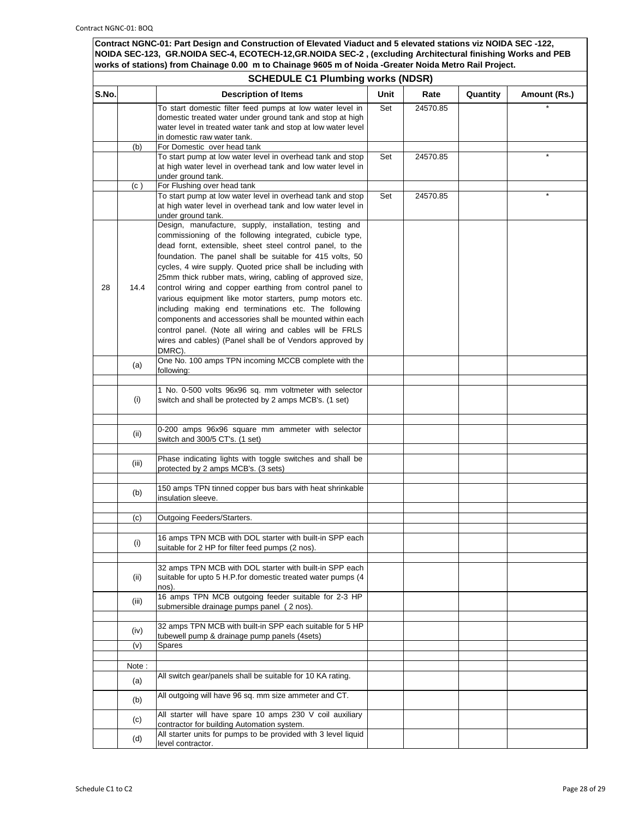|       | <b>SCHEDULE C1 Plumbing works (NDSR)</b> |                                                                                                                                                                                                                                                                                                                                                                                                                                                                                                                                                                                                                                                                                                                                                                                                                           |      |          |          |              |
|-------|------------------------------------------|---------------------------------------------------------------------------------------------------------------------------------------------------------------------------------------------------------------------------------------------------------------------------------------------------------------------------------------------------------------------------------------------------------------------------------------------------------------------------------------------------------------------------------------------------------------------------------------------------------------------------------------------------------------------------------------------------------------------------------------------------------------------------------------------------------------------------|------|----------|----------|--------------|
| S.No. |                                          | <b>Description of Items</b>                                                                                                                                                                                                                                                                                                                                                                                                                                                                                                                                                                                                                                                                                                                                                                                               | Unit | Rate     | Quantity | Amount (Rs.) |
|       |                                          | To start domestic filter feed pumps at low water level in<br>domestic treated water under ground tank and stop at high<br>water level in treated water tank and stop at low water level<br>in domestic raw water tank.                                                                                                                                                                                                                                                                                                                                                                                                                                                                                                                                                                                                    | Set  | 24570.85 |          |              |
|       | (b)                                      | For Domestic over head tank                                                                                                                                                                                                                                                                                                                                                                                                                                                                                                                                                                                                                                                                                                                                                                                               |      |          |          |              |
|       |                                          | To start pump at low water level in overhead tank and stop<br>at high water level in overhead tank and low water level in<br>under ground tank.                                                                                                                                                                                                                                                                                                                                                                                                                                                                                                                                                                                                                                                                           | Set  | 24570.85 |          |              |
|       | (c)                                      | For Flushing over head tank                                                                                                                                                                                                                                                                                                                                                                                                                                                                                                                                                                                                                                                                                                                                                                                               |      |          |          |              |
|       |                                          | To start pump at low water level in overhead tank and stop<br>at high water level in overhead tank and low water level in<br>under ground tank.                                                                                                                                                                                                                                                                                                                                                                                                                                                                                                                                                                                                                                                                           | Set  | 24570.85 |          |              |
| 28    | 14.4<br>(a)                              | Design, manufacture, supply, installation, testing and<br>commissioning of the following integrated, cubicle type,<br>dead fornt, extensible, sheet steel control panel, to the<br>foundation. The panel shall be suitable for 415 volts, 50<br>cycles, 4 wire supply. Quoted price shall be including with<br>25mm thick rubber mats, wiring, cabling of approved size,<br>control wiring and copper earthing from control panel to<br>various equipment like motor starters, pump motors etc.<br>including making end terminations etc. The following<br>components and accessories shall be mounted within each<br>control panel. (Note all wiring and cables will be FRLS<br>wires and cables) (Panel shall be of Vendors approved by<br>DMRC).<br>One No. 100 amps TPN incoming MCCB complete with the<br>following: |      |          |          |              |
|       | (i)                                      | 1 No. 0-500 volts 96x96 sq. mm voltmeter with selector<br>switch and shall be protected by 2 amps MCB's. (1 set)                                                                                                                                                                                                                                                                                                                                                                                                                                                                                                                                                                                                                                                                                                          |      |          |          |              |
|       | (ii)                                     | 0-200 amps 96x96 square mm ammeter with selector<br>switch and 300/5 CT's. (1 set)                                                                                                                                                                                                                                                                                                                                                                                                                                                                                                                                                                                                                                                                                                                                        |      |          |          |              |
|       | (iii)                                    | Phase indicating lights with toggle switches and shall be<br>protected by 2 amps MCB's. (3 sets)                                                                                                                                                                                                                                                                                                                                                                                                                                                                                                                                                                                                                                                                                                                          |      |          |          |              |
|       | (b)                                      | 150 amps TPN tinned copper bus bars with heat shrinkable<br>insulation sleeve.                                                                                                                                                                                                                                                                                                                                                                                                                                                                                                                                                                                                                                                                                                                                            |      |          |          |              |
|       | (c)                                      | Outgoing Feeders/Starters.                                                                                                                                                                                                                                                                                                                                                                                                                                                                                                                                                                                                                                                                                                                                                                                                |      |          |          |              |
|       |                                          |                                                                                                                                                                                                                                                                                                                                                                                                                                                                                                                                                                                                                                                                                                                                                                                                                           |      |          |          |              |
|       | (i)                                      | 16 amps TPN MCB with DOL starter with built-in SPP each<br>suitable for 2 HP for filter feed pumps (2 nos).                                                                                                                                                                                                                                                                                                                                                                                                                                                                                                                                                                                                                                                                                                               |      |          |          |              |
|       | (ii)                                     | 32 amps TPN MCB with DOL starter with built-in SPP each<br>suitable for upto 5 H.P.for domestic treated water pumps (4<br>nos).                                                                                                                                                                                                                                                                                                                                                                                                                                                                                                                                                                                                                                                                                           |      |          |          |              |
|       | (iii)                                    | 16 amps TPN MCB outgoing feeder suitable for 2-3 HP<br>submersible drainage pumps panel (2 nos).                                                                                                                                                                                                                                                                                                                                                                                                                                                                                                                                                                                                                                                                                                                          |      |          |          |              |
|       | (iv)                                     | 32 amps TPN MCB with built-in SPP each suitable for 5 HP<br>tubewell pump & drainage pump panels (4sets)                                                                                                                                                                                                                                                                                                                                                                                                                                                                                                                                                                                                                                                                                                                  |      |          |          |              |
|       | (v)                                      | Spares                                                                                                                                                                                                                                                                                                                                                                                                                                                                                                                                                                                                                                                                                                                                                                                                                    |      |          |          |              |
|       | Note:                                    |                                                                                                                                                                                                                                                                                                                                                                                                                                                                                                                                                                                                                                                                                                                                                                                                                           |      |          |          |              |
|       | (a)                                      | All switch gear/panels shall be suitable for 10 KA rating.                                                                                                                                                                                                                                                                                                                                                                                                                                                                                                                                                                                                                                                                                                                                                                |      |          |          |              |
|       | (b)                                      | All outgoing will have 96 sq. mm size ammeter and CT.                                                                                                                                                                                                                                                                                                                                                                                                                                                                                                                                                                                                                                                                                                                                                                     |      |          |          |              |
|       | (c)                                      | All starter will have spare 10 amps 230 V coil auxiliary<br>contractor for building Automation system.<br>All starter units for pumps to be provided with 3 level liquid                                                                                                                                                                                                                                                                                                                                                                                                                                                                                                                                                                                                                                                  |      |          |          |              |
|       | (d)                                      | level contractor.                                                                                                                                                                                                                                                                                                                                                                                                                                                                                                                                                                                                                                                                                                                                                                                                         |      |          |          |              |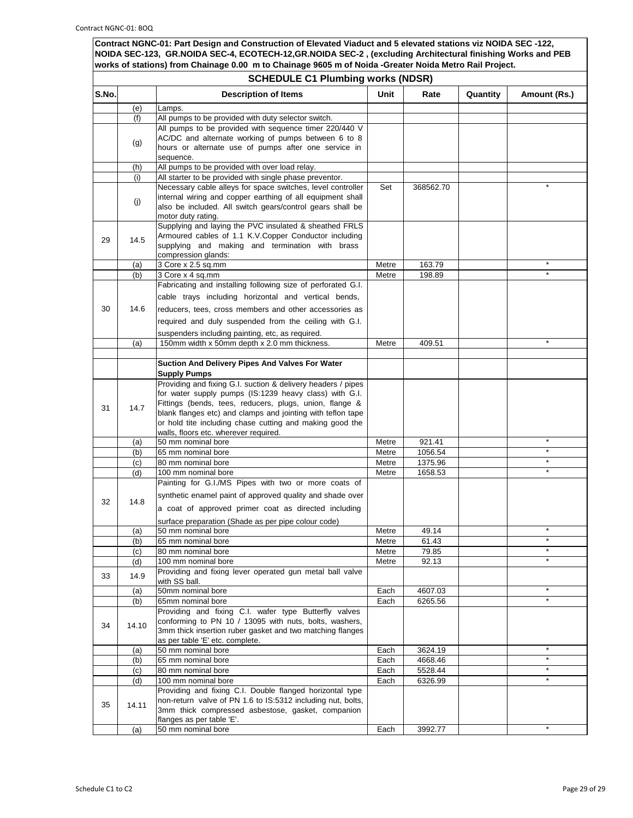|       | <b>SCHEDULE C1 Plumbing works (NDSR)</b> |                                                                                                                 |                |           |          |              |
|-------|------------------------------------------|-----------------------------------------------------------------------------------------------------------------|----------------|-----------|----------|--------------|
| S.No. |                                          | <b>Description of Items</b>                                                                                     | Unit           | Rate      | Quantity | Amount (Rs.) |
|       | (e)                                      | Lamps.                                                                                                          |                |           |          |              |
|       | (f)                                      | All pumps to be provided with duty selector switch.                                                             |                |           |          |              |
|       |                                          | All pumps to be provided with sequence timer 220/440 V                                                          |                |           |          |              |
|       | (g)                                      | AC/DC and alternate working of pumps between 6 to 8<br>hours or alternate use of pumps after one service in     |                |           |          |              |
|       |                                          | sequence.                                                                                                       |                |           |          |              |
|       | (h)                                      | All pumps to be provided with over load relay.                                                                  |                |           |          |              |
|       | (i)                                      | All starter to be provided with single phase preventor.                                                         |                |           |          |              |
|       |                                          | Necessary cable alleys for space switches, level controller                                                     | Set            | 368562.70 |          |              |
|       | (j)                                      | internal wiring and copper earthing of all equipment shall                                                      |                |           |          |              |
|       |                                          | also be included. All switch gears/control gears shall be                                                       |                |           |          |              |
|       |                                          | motor duty rating.                                                                                              |                |           |          |              |
|       |                                          | Supplying and laying the PVC insulated & sheathed FRLS<br>Armoured cables of 1.1 K.V.Copper Conductor including |                |           |          |              |
| 29    | 14.5                                     | supplying and making and termination with brass                                                                 |                |           |          |              |
|       |                                          | compression glands:                                                                                             |                |           |          |              |
|       | (a)                                      | 3 Core x 2.5 sq.mm                                                                                              | Metre          | 163.79    |          |              |
|       | (b)                                      | 3 Core x 4 sq.mm                                                                                                | Metre          | 198.89    |          | $\star$      |
|       |                                          | Fabricating and installing following size of perforated G.I.                                                    |                |           |          |              |
|       |                                          | cable trays including horizontal and vertical bends,                                                            |                |           |          |              |
| 30    | 14.6                                     | reducers, tees, cross members and other accessories as                                                          |                |           |          |              |
|       |                                          | required and duly suspended from the ceiling with G.I.                                                          |                |           |          |              |
|       |                                          |                                                                                                                 |                |           |          |              |
|       | (a)                                      | suspenders including painting, etc, as required.<br>150mm width x 50mm depth x 2.0 mm thickness.                | Metre          | 409.51    |          |              |
|       |                                          |                                                                                                                 |                |           |          |              |
|       |                                          | Suction And Delivery Pipes And Valves For Water                                                                 |                |           |          |              |
|       |                                          | <b>Supply Pumps</b>                                                                                             |                |           |          |              |
|       |                                          | Providing and fixing G.I. suction & delivery headers / pipes                                                    |                |           |          |              |
|       |                                          | for water supply pumps (IS:1239 heavy class) with G.I.                                                          |                |           |          |              |
| 31    | 14.7                                     | Fittings (bends, tees, reducers, plugs, union, flange &                                                         |                |           |          |              |
|       |                                          | blank flanges etc) and clamps and jointing with teflon tape                                                     |                |           |          |              |
|       |                                          | or hold tite including chase cutting and making good the                                                        |                |           |          |              |
|       | (a)                                      | walls, floors etc. wherever required.<br>50 mm nominal bore                                                     | Metre          | 921.41    |          | $\star$      |
|       | (b)                                      | 65 mm nominal bore                                                                                              | Metre          | 1056.54   |          | $\star$      |
|       | (c)                                      | 80 mm nominal bore                                                                                              | Metre          | 1375.96   |          | $\star$      |
|       | (d)                                      | 100 mm nominal bore                                                                                             | Metre          | 1658.53   |          |              |
|       |                                          | Painting for G.I./MS Pipes with two or more coats of                                                            |                |           |          |              |
|       |                                          | synthetic enamel paint of approved quality and shade over                                                       |                |           |          |              |
| 32    | 14.8                                     | a coat of approved primer coat as directed including                                                            |                |           |          |              |
|       |                                          |                                                                                                                 |                |           |          |              |
|       |                                          | surface preparation (Shade as per pipe colour code)                                                             |                | 49.14     |          | $\star$      |
|       | (a)<br>(b)                               | 50 mm nominal bore<br>65 mm nominal bore                                                                        | Metre<br>Metre | 61.43     |          | *            |
|       | (c)                                      | 80 mm nominal bore                                                                                              | Metre          | 79.85     |          | $\star$      |
|       | (d)                                      | 100 mm nominal bore                                                                                             | Metre          | 92.13     |          | $\star$      |
|       |                                          | Providing and fixing lever operated gun metal ball valve                                                        |                |           |          |              |
| 33    | 14.9                                     | with SS ball.                                                                                                   |                |           |          |              |
|       | (a)                                      | 50mm nominal bore                                                                                               | Each           | 4607.03   |          | $\star$      |
|       | (b)                                      | 65mm nominal bore                                                                                               | Each           | 6265.56   |          | $\star$      |
|       |                                          | Providing and fixing C.I. wafer type Butterfly valves                                                           |                |           |          |              |
| 34    | 14.10                                    | conforming to PN 10 / 13095 with nuts, bolts, washers,                                                          |                |           |          |              |
|       |                                          | 3mm thick insertion ruber gasket and two matching flanges                                                       |                |           |          |              |
|       | (a)                                      | as per table 'E' etc. complete.<br>50 mm nominal bore                                                           | Each           | 3624.19   |          | $\star$      |
|       | (b)                                      | 65 mm nominal bore                                                                                              | Each           | 4668.46   |          | $\star$      |
|       | (c)                                      | 80 mm nominal bore                                                                                              | Each           | 5528.44   |          | $\star$      |
|       | (d)                                      | 100 mm nominal bore                                                                                             | Each           | 6326.99   |          |              |
|       |                                          | Providing and fixing C.I. Double flanged horizontal type                                                        |                |           |          |              |
| 35    | 14.11                                    | non-return valve of PN 1.6 to IS:5312 including nut, bolts,                                                     |                |           |          |              |
|       |                                          | 3mm thick compressed asbestose, gasket, companion                                                               |                |           |          |              |
|       |                                          | flanges as per table 'E'.                                                                                       |                |           |          |              |
|       | (a)                                      | 50 mm nominal bore                                                                                              | Each           | 3992.77   |          |              |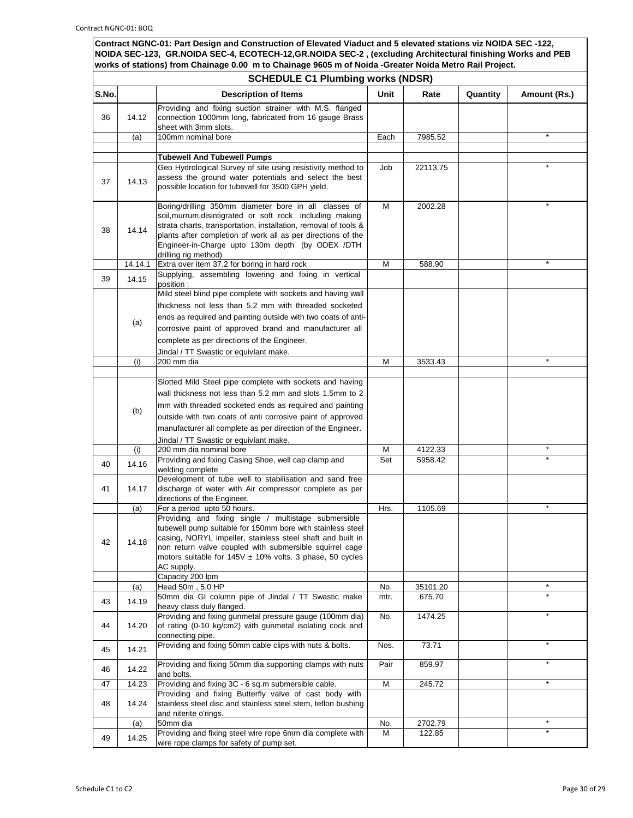|       | <b>SCHEDULE C1 Plumbing works (NDSR)</b> |                                                                                                                                                                                                                                                                                                                                                        |             |                    |          |              |
|-------|------------------------------------------|--------------------------------------------------------------------------------------------------------------------------------------------------------------------------------------------------------------------------------------------------------------------------------------------------------------------------------------------------------|-------------|--------------------|----------|--------------|
| S.No. |                                          | <b>Description of Items</b>                                                                                                                                                                                                                                                                                                                            | Unit        | Rate               | Quantity | Amount (Rs.) |
| 36    | 14.12                                    | Providing and fixing suction strainer with M.S. flanged<br>connection 1000mm long, fabricated from 16 gauge Brass<br>sheet with 3mm slots.                                                                                                                                                                                                             |             |                    |          |              |
|       | (a)                                      | 100mm nominal bore                                                                                                                                                                                                                                                                                                                                     | Each        | 7985.52            |          |              |
|       |                                          |                                                                                                                                                                                                                                                                                                                                                        |             |                    |          |              |
| 37    | 14.13                                    | <b>Tubewell And Tubewell Pumps</b><br>Geo Hydrological Survey of site using resistivity method to<br>assess the ground water potentials and select the best<br>possible location for tubewell for 3500 GPH yield.                                                                                                                                      | Job         | 22113.75           |          |              |
| 38    | 14.14                                    | Boring/drilling 350mm diameter bore in all classes of<br>soil, murrum, disintigrated or soft rock including making<br>strata charts, transportation, installation, removal of tools &<br>plants after completion of work all as per directions of the<br>Engineer-in-Charge upto 130m depth (by ODEX /DTH<br>drilling rig method)                      | М           | 2002.28            |          |              |
|       | 14.14.1                                  | Extra over item 37.2 for boring in hard rock                                                                                                                                                                                                                                                                                                           | M           | 588.90             |          |              |
| 39    | 14.15                                    | Supplying, assembling lowering and fixing in vertical<br>position :                                                                                                                                                                                                                                                                                    |             |                    |          |              |
|       | (a)                                      | Mild steel blind pipe complete with sockets and having wall<br>thickness not less than 5.2 mm with threaded socketed<br>ends as required and painting outside with two coats of anti-<br>corrosive paint of approved brand and manufacturer all<br>complete as per directions of the Engineer.<br>Jindal / TT Swastic or equivlant make.               |             |                    |          |              |
|       | (i)                                      | 200 mm dia                                                                                                                                                                                                                                                                                                                                             | М           | 3533.43            |          | $\star$      |
|       | (b)                                      | Slotted Mild Steel pipe complete with sockets and having<br>wall thickness not less than 5.2 mm and slots 1.5mm to 2<br>mm with threaded socketed ends as required and painting<br>outside with two coats of anti corrosive paint of approved<br>manufacturer all complete as per direction of the Engineer.<br>Jindal / TT Swastic or equivlant make. |             |                    |          |              |
|       | (i)                                      | 200 mm dia nominal bore                                                                                                                                                                                                                                                                                                                                | М           | 4122.33            |          |              |
| 40    | 14.16                                    | Providing and fixing Casing Shoe, well cap clamp and<br>welding complete                                                                                                                                                                                                                                                                               | Set         | 5958.42            |          |              |
| 41    | 14.17                                    | Development of tube well to stabilisation and sand free<br>discharge of water with Air compressor complete as per<br>directions of the Engineer.                                                                                                                                                                                                       |             |                    |          |              |
|       | (a)                                      | For a period upto 50 hours.                                                                                                                                                                                                                                                                                                                            | Hrs.        | 1105.69            |          | $\star$      |
| 42    | 14.18                                    | Providing and fixing single / multistage submersible<br>tubewell pump suitable for 150mm bore with stainless steel<br>casing, NORYL impeller, stainless steel shaft and built in<br>non return valve coupled with submersible squirrel cage<br>motors suitable for $145V \pm 10\%$ volts. 3 phase, 50 cycles<br>AC supply.                             |             |                    |          |              |
|       |                                          | Capacity 200 lpm                                                                                                                                                                                                                                                                                                                                       |             |                    |          |              |
| 43    | (a)<br>14.19                             | Head 50m, 5.0 HP<br>50mm dia GI column pipe of Jindal / TT Swastic make<br>heavy class duly flanged.                                                                                                                                                                                                                                                   | No.<br>mtr. | 35101.20<br>675.70 |          |              |
| 44    | 14.20                                    | Providing and fixing gunmetal pressure gauge (100mm dia)<br>of rating (0-10 kg/cm2) with gunmetal isolating cock and<br>connecting pipe.                                                                                                                                                                                                               | No.         | 1474.25            |          | $\star$      |
| 45    | 14.21                                    | Providing and fixing 50mm cable clips with nuts & bolts.                                                                                                                                                                                                                                                                                               | Nos.        | 73.71              |          | $\star$      |
| 46    | 14.22                                    | Providing and fixing 50mm dia supporting clamps with nuts<br>and bolts.                                                                                                                                                                                                                                                                                | Pair        | 859.97             |          |              |
| 47    | 14.23                                    | Providing and fixing 3C - 6 sq.m submersible cable.                                                                                                                                                                                                                                                                                                    | M           | 245.72             |          | $\star$      |
| 48    | 14.24                                    | Providing and fixing Butterfly valve of cast body with<br>stainless steel disc and stainless steel stem, teflon bushing<br>and niterite o'rings.                                                                                                                                                                                                       |             |                    |          |              |
|       | (a)                                      | 50mm dia                                                                                                                                                                                                                                                                                                                                               | No.         | 2702.79            |          | $\star$      |
| 49    | 14.25                                    | Providing and fixing steel wire rope 6mm dia complete with<br>wire rope clamps for safety of pump set.                                                                                                                                                                                                                                                 | м           | 122.85             |          |              |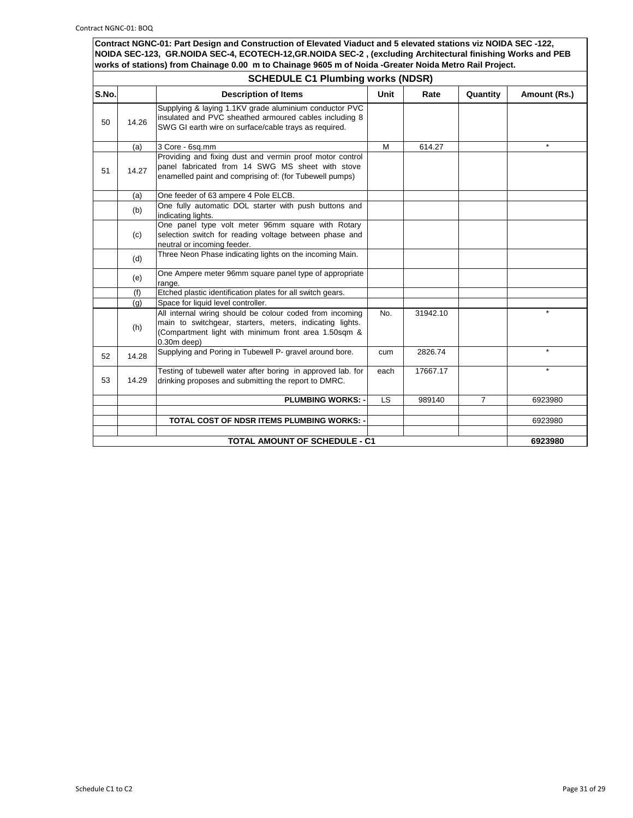|       | <b>SCHEDULE C1 Plumbing works (NDSR)</b> |                                                                                                                                                                                               |             |          |                |              |  |
|-------|------------------------------------------|-----------------------------------------------------------------------------------------------------------------------------------------------------------------------------------------------|-------------|----------|----------------|--------------|--|
| S.No. |                                          | <b>Description of Items</b>                                                                                                                                                                   | <b>Unit</b> | Rate     | Quantity       | Amount (Rs.) |  |
| 50    | 14.26                                    | Supplying & laying 1.1KV grade aluminium conductor PVC<br>insulated and PVC sheathed armoured cables including 8<br>SWG GI earth wire on surface/cable trays as required.                     |             |          |                |              |  |
|       | (a)                                      | 3 Core - 6sq.mm                                                                                                                                                                               | M           | 614.27   |                | $\star$      |  |
| 51    | 14.27                                    | Providing and fixing dust and vermin proof motor control<br>panel fabricated from 14 SWG MS sheet with stove<br>enamelled paint and comprising of: (for Tubewell pumps)                       |             |          |                |              |  |
|       | (a)                                      | One feeder of 63 ampere 4 Pole ELCB.                                                                                                                                                          |             |          |                |              |  |
|       | (b)                                      | One fully automatic DOL starter with push buttons and<br>indicating lights.                                                                                                                   |             |          |                |              |  |
|       | (c)                                      | One panel type volt meter 96mm square with Rotary<br>selection switch for reading voltage between phase and<br>neutral or incoming feeder.                                                    |             |          |                |              |  |
|       | (d)                                      | Three Neon Phase indicating lights on the incoming Main.                                                                                                                                      |             |          |                |              |  |
|       | (e)                                      | One Ampere meter 96mm square panel type of appropriate<br>range.                                                                                                                              |             |          |                |              |  |
|       | (f)                                      | Etched plastic identification plates for all switch gears.                                                                                                                                    |             |          |                |              |  |
|       | (q)                                      | Space for liquid level controller.                                                                                                                                                            |             |          |                |              |  |
|       | (h)                                      | All internal wiring should be colour coded from incoming<br>main to switchgear, starters, meters, indicating lights.<br>(Compartment light with minimum front area 1.50sqm &<br>$0.30m$ deep) | No.         | 31942.10 |                |              |  |
| 52    | 14.28                                    | Supplying and Poring in Tubewell P- gravel around bore.                                                                                                                                       | cum         | 2826.74  |                | $\Phi$       |  |
| 53    | 14.29                                    | Testing of tubewell water after boring in approved lab. for<br>drinking proposes and submitting the report to DMRC.                                                                           | each        | 17667.17 |                |              |  |
|       |                                          | <b>PLUMBING WORKS: -</b>                                                                                                                                                                      | <b>LS</b>   | 989140   | $\overline{7}$ | 6923980      |  |
|       |                                          |                                                                                                                                                                                               |             |          |                |              |  |
|       |                                          | <b>TOTAL COST OF NDSR ITEMS PLUMBING WORKS: -</b>                                                                                                                                             |             |          |                | 6923980      |  |
|       |                                          | <b>TOTAL AMOUNT OF SCHEDULE - C1</b>                                                                                                                                                          |             |          |                | 6923980      |  |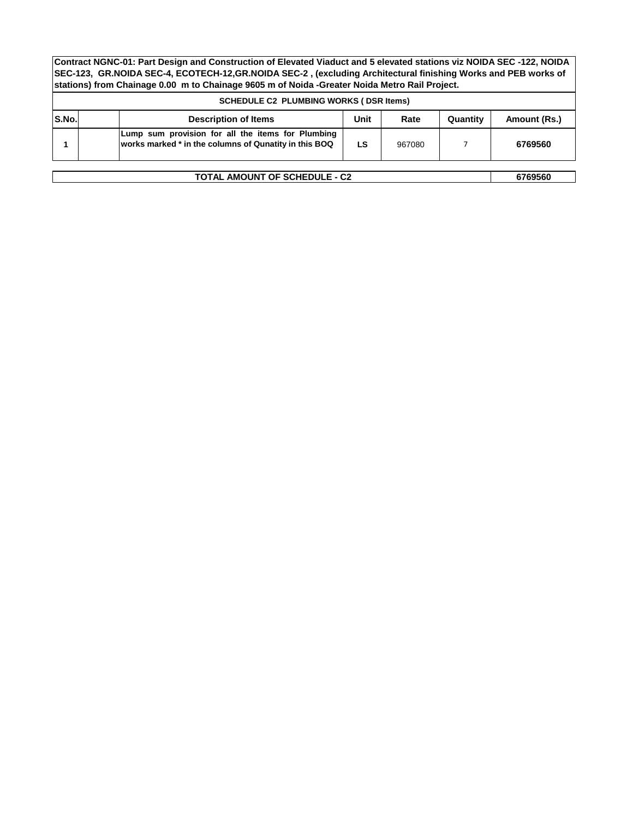|              | <b>SCHEDULE C2 PLUMBING WORKS (DSR Items)</b>                                                              |      |        |          |              |  |
|--------------|------------------------------------------------------------------------------------------------------------|------|--------|----------|--------------|--|
| <b>S.No.</b> | <b>Description of Items</b>                                                                                | Unit | Rate   | Quantity | Amount (Rs.) |  |
|              | Lump sum provision for all the items for Plumbing<br>works marked * in the columns of Qunatity in this BOQ | LS   | 967080 |          | 6769560      |  |
| 6769560      |                                                                                                            |      |        |          |              |  |
|              | <b>TOTAL AMOUNT OF SCHEDULE - C2</b>                                                                       |      |        |          |              |  |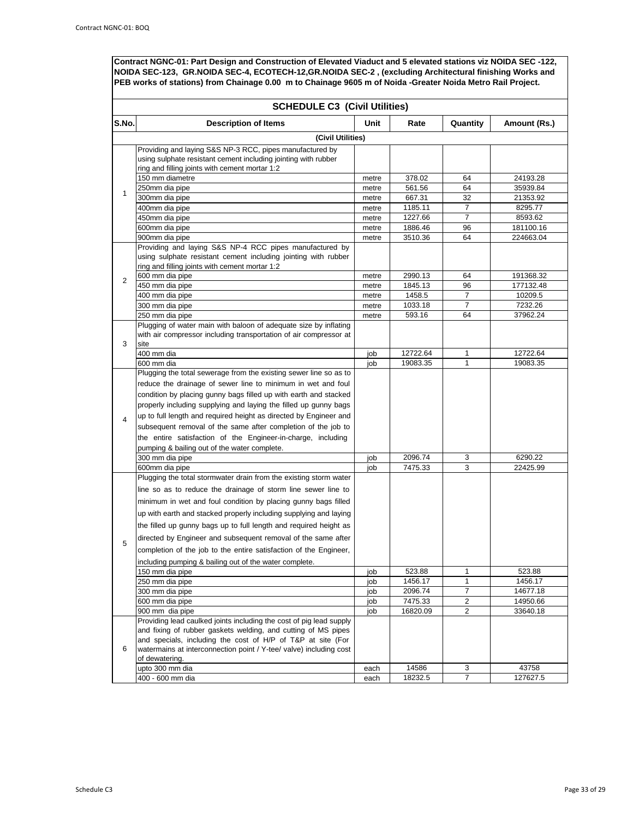|                | <b>SCHEDULE C3 (Civil Utilities)</b>                                                                                                                                                                                                                                                                                                                                                                                                                                                                                                               |            |                     |                     |                      |  |
|----------------|----------------------------------------------------------------------------------------------------------------------------------------------------------------------------------------------------------------------------------------------------------------------------------------------------------------------------------------------------------------------------------------------------------------------------------------------------------------------------------------------------------------------------------------------------|------------|---------------------|---------------------|----------------------|--|
| S.No.          | <b>Description of Items</b>                                                                                                                                                                                                                                                                                                                                                                                                                                                                                                                        | Unit       | Rate                | Quantity            | Amount (Rs.)         |  |
|                | (Civil Utilities)                                                                                                                                                                                                                                                                                                                                                                                                                                                                                                                                  |            |                     |                     |                      |  |
| 1              | Providing and laying S&S NP-3 RCC, pipes manufactured by<br>using sulphate resistant cement including jointing with rubber<br>ring and filling joints with cement mortar 1:2                                                                                                                                                                                                                                                                                                                                                                       |            |                     |                     |                      |  |
|                | 150 mm diametre                                                                                                                                                                                                                                                                                                                                                                                                                                                                                                                                    | metre      | 378.02              | 64                  | 24193.28             |  |
|                | 250mm dia pipe                                                                                                                                                                                                                                                                                                                                                                                                                                                                                                                                     | metre      | 561.56              | 64                  | 35939.84             |  |
|                | 300mm dia pipe                                                                                                                                                                                                                                                                                                                                                                                                                                                                                                                                     | metre      | 667.31              | 32                  | 21353.92             |  |
|                | 400mm dia pipe                                                                                                                                                                                                                                                                                                                                                                                                                                                                                                                                     | metre      | 1185.11             | $\overline{7}$      | 8295.77              |  |
|                | 450mm dia pipe                                                                                                                                                                                                                                                                                                                                                                                                                                                                                                                                     | metre      | 1227.66             | $\overline{7}$      | 8593.62              |  |
|                | 600mm dia pipe                                                                                                                                                                                                                                                                                                                                                                                                                                                                                                                                     | metre      | 1886.46             | 96                  | 181100.16            |  |
|                | 900mm dia pipe                                                                                                                                                                                                                                                                                                                                                                                                                                                                                                                                     | metre      | 3510.36             | 64                  | 224663.04            |  |
|                | Providing and laying S&S NP-4 RCC pipes manufactured by<br>using sulphate resistant cement including jointing with rubber<br>ring and filling joints with cement mortar 1:2                                                                                                                                                                                                                                                                                                                                                                        |            |                     |                     |                      |  |
| $\overline{2}$ | 600 mm dia pipe                                                                                                                                                                                                                                                                                                                                                                                                                                                                                                                                    | metre      | 2990.13             | 64                  | 191368.32            |  |
|                | 450 mm dia pipe                                                                                                                                                                                                                                                                                                                                                                                                                                                                                                                                    | metre      | 1845.13             | 96                  | 177132.48            |  |
|                | 400 mm dia pipe                                                                                                                                                                                                                                                                                                                                                                                                                                                                                                                                    | metre      | 1458.5              | 7                   | 10209.5              |  |
|                | 300 mm dia pipe                                                                                                                                                                                                                                                                                                                                                                                                                                                                                                                                    | metre      | 1033.18             | 7                   | 7232.26              |  |
|                | 250 mm dia pipe                                                                                                                                                                                                                                                                                                                                                                                                                                                                                                                                    | metre      | 593.16              | 64                  | 37962.24             |  |
| 3              | Plugging of water main with baloon of adequate size by inflating<br>with air compressor including transportation of air compressor at<br>site                                                                                                                                                                                                                                                                                                                                                                                                      |            |                     |                     |                      |  |
|                | 400 mm dia                                                                                                                                                                                                                                                                                                                                                                                                                                                                                                                                         | job        | 12722.64            | 1                   | 12722.64             |  |
|                | 600 mm dia                                                                                                                                                                                                                                                                                                                                                                                                                                                                                                                                         | job        | 19083.35            | $\mathbf{1}$        | 19083.35             |  |
| $\overline{4}$ | Plugging the total sewerage from the existing sewer line so as to<br>reduce the drainage of sewer line to minimum in wet and foul<br>condition by placing gunny bags filled up with earth and stacked<br>properly including supplying and laying the filled up gunny bags<br>up to full length and required height as directed by Engineer and<br>subsequent removal of the same after completion of the job to<br>the entire satisfaction of the Engineer-in-charge, including<br>pumping & bailing out of the water complete.<br>300 mm dia pipe | job        | 2096.74             | 3                   | 6290.22              |  |
|                | 600mm dia pipe                                                                                                                                                                                                                                                                                                                                                                                                                                                                                                                                     | job        | 7475.33             | 3                   | 22425.99             |  |
|                | Plugging the total stormwater drain from the existing storm water<br>line so as to reduce the drainage of storm line sewer line to<br>minimum in wet and foul condition by placing gunny bags filled<br>up with earth and stacked properly including supplying and laying<br>the filled up gunny bags up to full length and required height as                                                                                                                                                                                                     |            |                     |                     |                      |  |
| 5              | directed by Engineer and subsequent removal of the same after<br>completion of the job to the entire satisfaction of the Engineer,<br>including pumping & bailing out of the water complete.                                                                                                                                                                                                                                                                                                                                                       |            |                     |                     |                      |  |
|                | 150 mm dia pipe                                                                                                                                                                                                                                                                                                                                                                                                                                                                                                                                    | job        | 523.88              | 1                   | 523.88               |  |
|                | 250 mm dia pipe                                                                                                                                                                                                                                                                                                                                                                                                                                                                                                                                    | job        | 1456.17             | 1                   | 1456.17              |  |
|                | 300 mm dia pipe                                                                                                                                                                                                                                                                                                                                                                                                                                                                                                                                    | job        | 2096.74             | 7                   | 14677.18             |  |
|                | 600 mm dia pipe<br>900 mm dia pipe                                                                                                                                                                                                                                                                                                                                                                                                                                                                                                                 | job<br>job | 7475.33<br>16820.09 | 2<br>$\overline{2}$ | 14950.66<br>33640.18 |  |
| 6              | Providing lead caulked joints including the cost of pig lead supply<br>and fixing of rubber gaskets welding, and cutting of MS pipes<br>and specials, including the cost of H/P of T&P at site (For<br>watermains at interconnection point / Y-tee/ valve) including cost<br>of dewatering.                                                                                                                                                                                                                                                        |            |                     |                     |                      |  |
|                | upto 300 mm dia                                                                                                                                                                                                                                                                                                                                                                                                                                                                                                                                    | each       | 14586               | 3                   | 43758                |  |
|                | 400 - 600 mm dia                                                                                                                                                                                                                                                                                                                                                                                                                                                                                                                                   | each       | 18232.5             | 7                   | 127627.5             |  |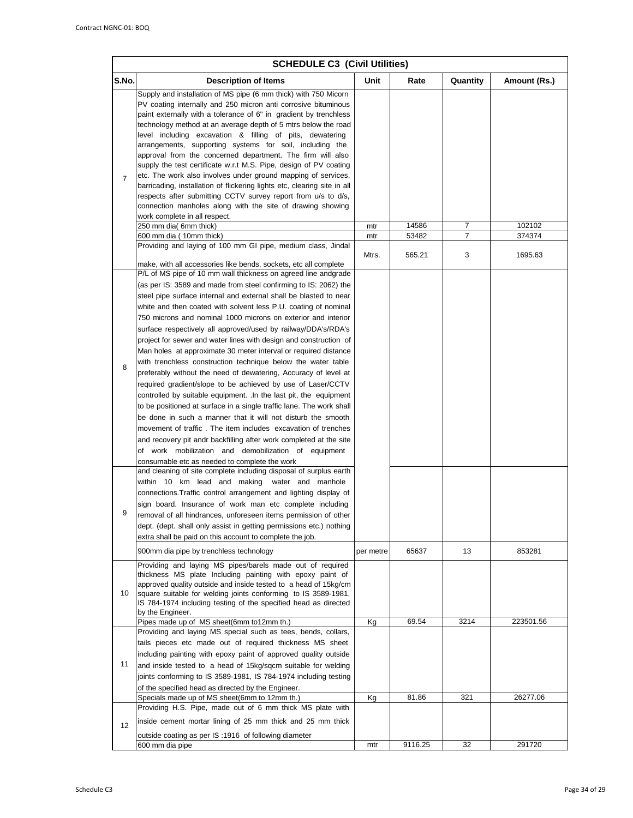|                | <b>SCHEDULE C3 (Civil Utilities)</b>                                                                                                                                                                                                                                                                                                                                                                                                                                                                                                                                                                                                                                                                                                                                                                                                                                                                                                                                                                                                                                                                                                                                                                                                                                                                                                                                                                                                                                                                                                                                                                                                                                            |            |                |          |                  |  |
|----------------|---------------------------------------------------------------------------------------------------------------------------------------------------------------------------------------------------------------------------------------------------------------------------------------------------------------------------------------------------------------------------------------------------------------------------------------------------------------------------------------------------------------------------------------------------------------------------------------------------------------------------------------------------------------------------------------------------------------------------------------------------------------------------------------------------------------------------------------------------------------------------------------------------------------------------------------------------------------------------------------------------------------------------------------------------------------------------------------------------------------------------------------------------------------------------------------------------------------------------------------------------------------------------------------------------------------------------------------------------------------------------------------------------------------------------------------------------------------------------------------------------------------------------------------------------------------------------------------------------------------------------------------------------------------------------------|------------|----------------|----------|------------------|--|
| S.No.          | Description of Items                                                                                                                                                                                                                                                                                                                                                                                                                                                                                                                                                                                                                                                                                                                                                                                                                                                                                                                                                                                                                                                                                                                                                                                                                                                                                                                                                                                                                                                                                                                                                                                                                                                            | Unit       | Rate           | Quantity | Amount (Rs.)     |  |
| $\overline{7}$ | Supply and installation of MS pipe (6 mm thick) with 750 Micorn<br>PV coating internally and 250 micron anti corrosive bituminous<br>paint externally with a tolerance of 6" in gradient by trenchless<br>technology method at an average depth of 5 mtrs below the road<br>level including excavation & filling of pits, dewatering<br>arrangements, supporting systems for soil, including the<br>approval from the concerned department. The firm will also<br>supply the test certificate w.r.t M.S. Pipe, design of PV coating<br>etc. The work also involves under ground mapping of services,<br>barricading, installation of flickering lights etc, clearing site in all<br>respects after submitting CCTV survey report from u/s to d/s,<br>connection manholes along with the site of drawing showing<br>work complete in all respect.<br>250 mm dia( 6mm thick)<br>600 mm dia (10mm thick)<br>Providing and laying of 100 mm GI pipe, medium class, Jindal                                                                                                                                                                                                                                                                                                                                                                                                                                                                                                                                                                                                                                                                                                           | mtr<br>mtr | 14586<br>53482 | 7<br>7   | 102102<br>374374 |  |
|                | make, with all accessories like bends, sockets, etc all complete                                                                                                                                                                                                                                                                                                                                                                                                                                                                                                                                                                                                                                                                                                                                                                                                                                                                                                                                                                                                                                                                                                                                                                                                                                                                                                                                                                                                                                                                                                                                                                                                                | Mtrs.      | 565.21         | 3        | 1695.63          |  |
| 8<br>9         | P/L of MS pipe of 10 mm wall thickness on agreed line andgrade<br>(as per IS: 3589 and made from steel confirming to IS: 2062) the<br>steel pipe surface internal and external shall be blasted to near<br>white and then coated with solvent less P.U. coating of nominal<br>750 microns and nominal 1000 microns on exterior and interior<br>surface respectively all approved/used by railway/DDA's/RDA's<br>project for sewer and water lines with design and construction of<br>Man holes at approximate 30 meter interval or required distance<br>with trenchless construction technique below the water table<br>preferably without the need of dewatering, Accuracy of level at<br>required gradient/slope to be achieved by use of Laser/CCTV<br>controlled by suitable equipment. In the last pit, the equipment<br>to be positioned at surface in a single traffic lane. The work shall<br>be done in such a manner that it will not disturb the smooth<br>movement of traffic. The item includes excavation of trenches<br>and recovery pit andr backfilling after work completed at the site<br>of work mobilization and demobilization of equipment<br>consumable etc as needed to complete the work<br>and cleaning of site complete including disposal of surplus earth<br>within 10 km lead and making water and manhole<br>connections. Traffic control arrangement and lighting display of<br>sign board. Insurance of work man etc complete including<br>removal of all hindrances, unforeseen items permission of other<br>dept. (dept. shall only assist in getting permissions etc.) nothing<br>extra shall be paid on this account to complete the job. |            |                |          |                  |  |
|                | 900mm dia pipe by trenchless technology                                                                                                                                                                                                                                                                                                                                                                                                                                                                                                                                                                                                                                                                                                                                                                                                                                                                                                                                                                                                                                                                                                                                                                                                                                                                                                                                                                                                                                                                                                                                                                                                                                         | per metre  | 65637          | 13       | 853281           |  |
| 10             | Providing and laying MS pipes/barels made out of required<br>thickness MS plate Including painting with epoxy paint of<br>approved quality outside and inside tested to a head of 15kg/cm<br>square suitable for welding joints conforming to IS 3589-1981,<br>IS 784-1974 including testing of the specified head as directed<br>by the Engineer.                                                                                                                                                                                                                                                                                                                                                                                                                                                                                                                                                                                                                                                                                                                                                                                                                                                                                                                                                                                                                                                                                                                                                                                                                                                                                                                              |            |                |          |                  |  |
|                | Pipes made up of MS sheet(6mm to12mm th.)<br>Providing and laying MS special such as tees, bends, collars,                                                                                                                                                                                                                                                                                                                                                                                                                                                                                                                                                                                                                                                                                                                                                                                                                                                                                                                                                                                                                                                                                                                                                                                                                                                                                                                                                                                                                                                                                                                                                                      | Kg         | 69.54          | 3214     | 223501.56        |  |
| 11             | tails pieces etc made out of required thickness MS sheet<br>including painting with epoxy paint of approved quality outside<br>and inside tested to a head of 15kg/sqcm suitable for welding<br>joints conforming to IS 3589-1981, IS 784-1974 including testing<br>of the specified head as directed by the Engineer.                                                                                                                                                                                                                                                                                                                                                                                                                                                                                                                                                                                                                                                                                                                                                                                                                                                                                                                                                                                                                                                                                                                                                                                                                                                                                                                                                          |            |                |          |                  |  |
|                | Specials made up of MS sheet(6mm to 12mm th.)<br>Providing H.S. Pipe, made out of 6 mm thick MS plate with                                                                                                                                                                                                                                                                                                                                                                                                                                                                                                                                                                                                                                                                                                                                                                                                                                                                                                                                                                                                                                                                                                                                                                                                                                                                                                                                                                                                                                                                                                                                                                      | Кg         | 81.86          | 321      | 26277.06         |  |
| 12             | inside cement mortar lining of 25 mm thick and 25 mm thick<br>outside coating as per IS: 1916 of following diameter                                                                                                                                                                                                                                                                                                                                                                                                                                                                                                                                                                                                                                                                                                                                                                                                                                                                                                                                                                                                                                                                                                                                                                                                                                                                                                                                                                                                                                                                                                                                                             |            |                |          |                  |  |
|                | 600 mm dia pipe                                                                                                                                                                                                                                                                                                                                                                                                                                                                                                                                                                                                                                                                                                                                                                                                                                                                                                                                                                                                                                                                                                                                                                                                                                                                                                                                                                                                                                                                                                                                                                                                                                                                 | mtr        | 9116.25        | 32       | 291720           |  |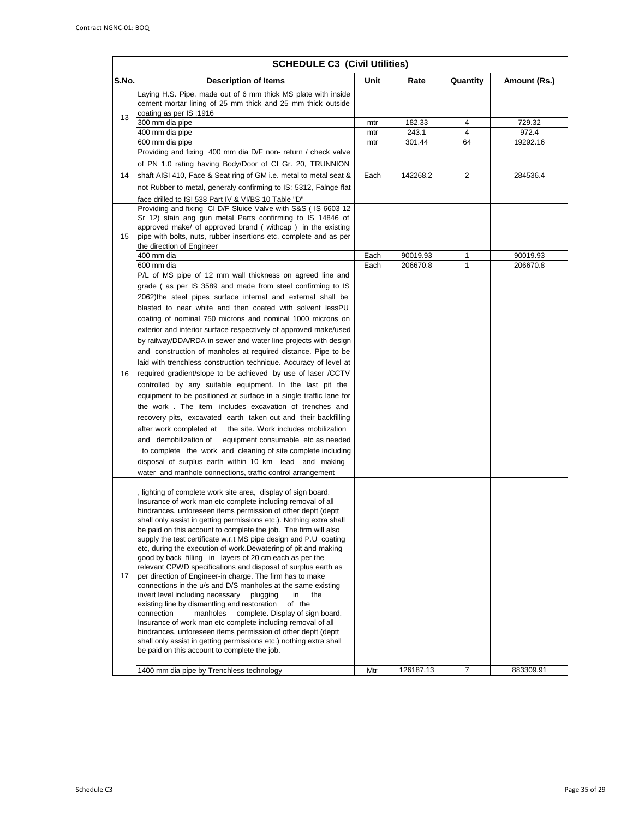|       | <b>SCHEDULE C3 (Civil Utilities)</b>                                                                                                                         |      |           |                |              |  |
|-------|--------------------------------------------------------------------------------------------------------------------------------------------------------------|------|-----------|----------------|--------------|--|
| S.No. | <b>Description of Items</b>                                                                                                                                  | Unit | Rate      | Quantity       | Amount (Rs.) |  |
|       | Laying H.S. Pipe, made out of 6 mm thick MS plate with inside<br>cement mortar lining of 25 mm thick and 25 mm thick outside<br>coating as per IS:1916       |      |           |                |              |  |
| 13    | 300 mm dia pipe                                                                                                                                              | mtr  | 182.33    | 4              | 729.32       |  |
|       | 400 mm dia pipe                                                                                                                                              | mtr  | 243.1     | 4              | 972.4        |  |
|       | 600 mm dia pipe                                                                                                                                              | mtr  | 301.44    | 64             | 19292.16     |  |
|       | Providing and fixing 400 mm dia D/F non-return / check valve                                                                                                 |      |           |                |              |  |
|       | of PN 1.0 rating having Body/Door of CI Gr. 20, TRUNNION                                                                                                     |      |           |                |              |  |
| 14    | shaft AISI 410, Face & Seat ring of GM i.e. metal to metal seat &                                                                                            | Each | 142268.2  | 2              | 284536.4     |  |
|       | not Rubber to metal, generaly confirming to IS: 5312, Falnge flat                                                                                            |      |           |                |              |  |
|       | face drilled to ISI 538 Part IV & VI/BS 10 Table "D"                                                                                                         |      |           |                |              |  |
|       | Providing and fixing CI D/F Sluice Valve with S&S (IS 6603 12                                                                                                |      |           |                |              |  |
|       | Sr 12) stain ang gun metal Parts confirming to IS 14846 of                                                                                                   |      |           |                |              |  |
| 15    | approved make/ of approved brand (withcap) in the existing<br>pipe with bolts, nuts, rubber insertions etc. complete and as per<br>the direction of Engineer |      |           |                |              |  |
|       | 400 mm dia                                                                                                                                                   | Each | 90019.93  | 1              | 90019.93     |  |
|       | 600 mm dia                                                                                                                                                   | Each | 206670.8  | 1              | 206670.8     |  |
|       | P/L of MS pipe of 12 mm wall thickness on agreed line and                                                                                                    |      |           |                |              |  |
|       | grade (as per IS 3589 and made from steel confirming to IS                                                                                                   |      |           |                |              |  |
|       | 2062) the steel pipes surface internal and external shall be                                                                                                 |      |           |                |              |  |
|       | blasted to near white and then coated with solvent lessPU                                                                                                    |      |           |                |              |  |
|       | coating of nominal 750 microns and nominal 1000 microns on                                                                                                   |      |           |                |              |  |
|       | exterior and interior surface respectively of approved make/used                                                                                             |      |           |                |              |  |
|       | by railway/DDA/RDA in sewer and water line projects with design                                                                                              |      |           |                |              |  |
|       | and construction of manholes at required distance. Pipe to be                                                                                                |      |           |                |              |  |
|       | laid with trenchless construction technique. Accuracy of level at                                                                                            |      |           |                |              |  |
| 16    | required gradient/slope to be achieved by use of laser /CCTV                                                                                                 |      |           |                |              |  |
|       | controlled by any suitable equipment. In the last pit the                                                                                                    |      |           |                |              |  |
|       | equipment to be positioned at surface in a single traffic lane for                                                                                           |      |           |                |              |  |
|       | the work. The item includes excavation of trenches and                                                                                                       |      |           |                |              |  |
|       | recovery pits, excavated earth taken out and their backfilling                                                                                               |      |           |                |              |  |
|       | after work completed at the site. Work includes mobilization                                                                                                 |      |           |                |              |  |
|       | and demobilization of<br>equipment consumable etc as needed                                                                                                  |      |           |                |              |  |
|       | to complete the work and cleaning of site complete including                                                                                                 |      |           |                |              |  |
|       | disposal of surplus earth within 10 km lead and making                                                                                                       |      |           |                |              |  |
|       | water and manhole connections, traffic control arrangement                                                                                                   |      |           |                |              |  |
|       | lighting of complete work site area, display of sign board.                                                                                                  |      |           |                |              |  |
|       | Insurance of work man etc complete including removal of all                                                                                                  |      |           |                |              |  |
|       | hindrances, unforeseen items permission of other deptt (deptt                                                                                                |      |           |                |              |  |
|       | shall only assist in getting permissions etc.). Nothing extra shall<br>be paid on this account to complete the job. The firm will also                       |      |           |                |              |  |
|       | supply the test certificate w.r.t MS pipe design and P.U coating                                                                                             |      |           |                |              |  |
|       | etc, during the execution of work. Dewatering of pit and making                                                                                              |      |           |                |              |  |
|       | good by back filling in layers of 20 cm each as per the                                                                                                      |      |           |                |              |  |
|       | relevant CPWD specifications and disposal of surplus earth as                                                                                                |      |           |                |              |  |
| 17    | per direction of Engineer-in charge. The firm has to make<br>connections in the u/s and D/S manholes at the same existing                                    |      |           |                |              |  |
|       | invert level including necessary<br>plugging<br>in<br>the                                                                                                    |      |           |                |              |  |
|       | existing line by dismantling and restoration<br>of the                                                                                                       |      |           |                |              |  |
|       | connection<br>manholes<br>complete. Display of sign board.                                                                                                   |      |           |                |              |  |
|       | Insurance of work man etc complete including removal of all                                                                                                  |      |           |                |              |  |
|       | hindrances, unforeseen items permission of other deptt (deptt<br>shall only assist in getting permissions etc.) nothing extra shall                          |      |           |                |              |  |
|       | be paid on this account to complete the job.                                                                                                                 |      |           |                |              |  |
|       |                                                                                                                                                              |      |           |                |              |  |
|       | 1400 mm dia pipe by Trenchless technology                                                                                                                    | Mtr  | 126187.13 | $\overline{7}$ | 883309.91    |  |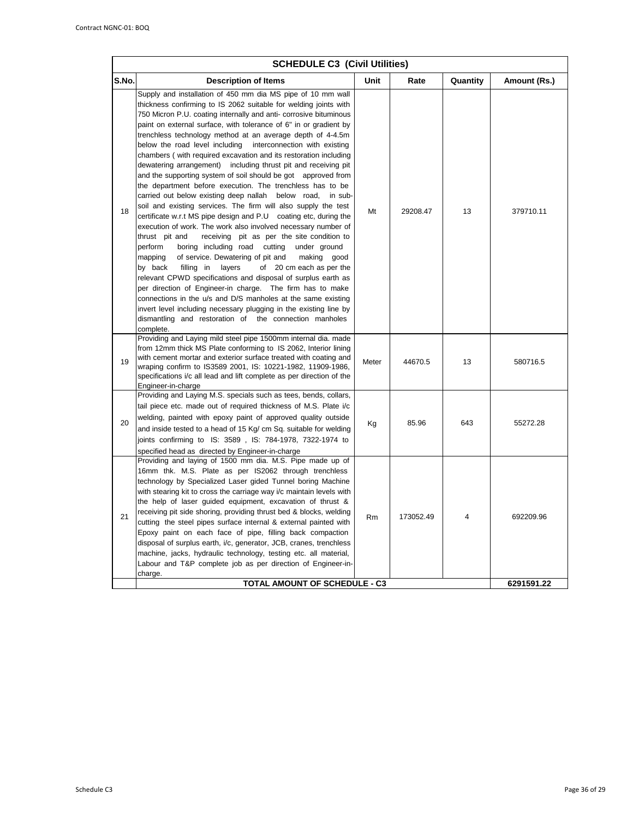|       | <b>SCHEDULE C3 (Civil Utilities)</b>                                                                                                                                                                                                                                                                                                                                                                                                                                                                                                                                                                                                                                                                                                                                                                                                                                                                                                                                                                                                                                                                                                                                                                                                                                                                                                                                                                                                                                                                                                                   |           |           |          |                         |
|-------|--------------------------------------------------------------------------------------------------------------------------------------------------------------------------------------------------------------------------------------------------------------------------------------------------------------------------------------------------------------------------------------------------------------------------------------------------------------------------------------------------------------------------------------------------------------------------------------------------------------------------------------------------------------------------------------------------------------------------------------------------------------------------------------------------------------------------------------------------------------------------------------------------------------------------------------------------------------------------------------------------------------------------------------------------------------------------------------------------------------------------------------------------------------------------------------------------------------------------------------------------------------------------------------------------------------------------------------------------------------------------------------------------------------------------------------------------------------------------------------------------------------------------------------------------------|-----------|-----------|----------|-------------------------|
| S.No. | <b>Description of Items</b>                                                                                                                                                                                                                                                                                                                                                                                                                                                                                                                                                                                                                                                                                                                                                                                                                                                                                                                                                                                                                                                                                                                                                                                                                                                                                                                                                                                                                                                                                                                            | Unit      | Rate      | Quantity | Amount (Rs.)            |
| 18    | Supply and installation of 450 mm dia MS pipe of 10 mm wall<br>thickness confirming to IS 2062 suitable for welding joints with<br>750 Micron P.U. coating internally and anti-corrosive bituminous<br>paint on external surface, with tolerance of 6" in or gradient by<br>trenchless technology method at an average depth of 4-4.5m<br>below the road level including interconnection with existing<br>chambers (with required excavation and its restoration including<br>dewatering arrangement) including thrust pit and receiving pit<br>and the supporting system of soil should be got approved from<br>the department before execution. The trenchless has to be<br>carried out below existing deep nallah below road,<br>in sub-<br>soil and existing services. The firm will also supply the test<br>certificate w.r.t MS pipe design and P.U coating etc, during the<br>execution of work. The work also involved necessary number of<br>thrust pit and<br>receiving pit as per the site condition to<br>perform<br>boring including road cutting<br>under ground<br>mapping<br>of service. Dewatering of pit and<br>making good<br>of 20 cm each as per the<br>by back<br>filling in<br>layers<br>relevant CPWD specifications and disposal of surplus earth as<br>per direction of Engineer-in charge. The firm has to make<br>connections in the u/s and D/S manholes at the same existing<br>invert level including necessary plugging in the existing line by<br>dismantling and restoration of the connection manholes<br>complete. | Mt        | 29208.47  | 13       | 379710.11               |
| 19    | Providing and Laying mild steel pipe 1500mm internal dia. made<br>from 12mm thick MS Plate conforming to IS 2062, Interior lining<br>with cement mortar and exterior surface treated with coating and<br>wraping confirm to IS3589 2001, IS: 10221-1982, 11909-1986,<br>specifications i/c all lead and lift complete as per direction of the<br>Engineer-in-charge                                                                                                                                                                                                                                                                                                                                                                                                                                                                                                                                                                                                                                                                                                                                                                                                                                                                                                                                                                                                                                                                                                                                                                                    | Meter     | 44670.5   | 13       | 580716.5                |
| 20    | Providing and Laying M.S. specials such as tees, bends, collars,<br>tail piece etc. made out of required thickness of M.S. Plate i/c<br>welding, painted with epoxy paint of approved quality outside<br>and inside tested to a head of 15 Kg/ cm Sq. suitable for welding<br>joints confirming to IS: 3589, IS: 784-1978, 7322-1974 to<br>specified head as directed by Engineer-in-charge                                                                                                                                                                                                                                                                                                                                                                                                                                                                                                                                                                                                                                                                                                                                                                                                                                                                                                                                                                                                                                                                                                                                                            | Kg        | 85.96     | 643      | 55272.28                |
| 21    | Providing and laying of 1500 mm dia. M.S. Pipe made up of<br>16mm thk. M.S. Plate as per IS2062 through trenchless<br>technology by Specialized Laser gided Tunnel boring Machine<br>with stearing kit to cross the carriage way i/c maintain levels with<br>the help of laser guided equipment, excavation of thrust &<br>receiving pit side shoring, providing thrust bed & blocks, welding<br>cutting the steel pipes surface internal & external painted with<br>Epoxy paint on each face of pipe, filling back compaction<br>disposal of surplus earth, i/c, generator, JCB, cranes, trenchless<br>machine, jacks, hydraulic technology, testing etc. all material,<br>Labour and T&P complete job as per direction of Engineer-in-<br>charge.<br><b>TOTAL AMOUNT OF SCHEDULE - C3</b>                                                                                                                                                                                                                                                                                                                                                                                                                                                                                                                                                                                                                                                                                                                                                            | <b>Rm</b> | 173052.49 | 4        | 692209.96<br>6291591.22 |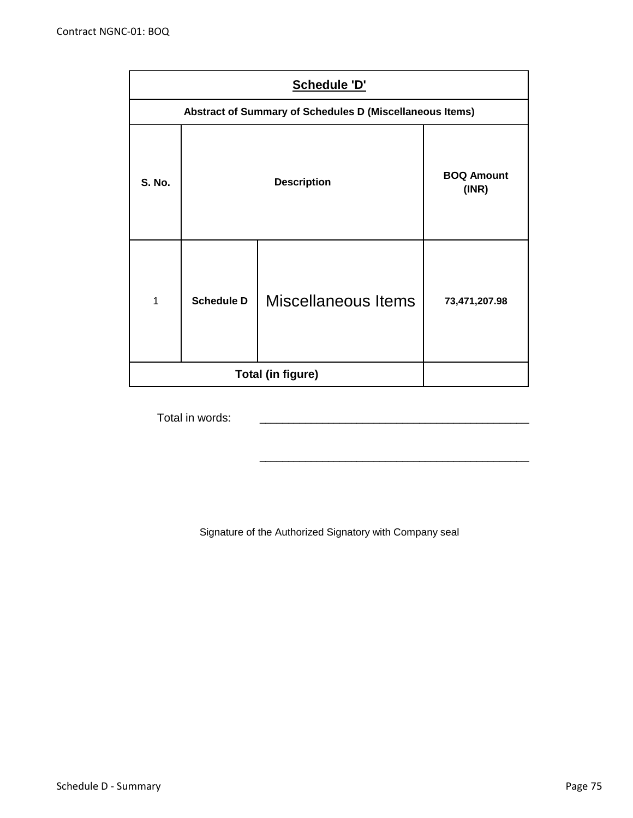|               | Schedule 'D'      |                                                          |                            |  |  |  |  |
|---------------|-------------------|----------------------------------------------------------|----------------------------|--|--|--|--|
|               |                   | Abstract of Summary of Schedules D (Miscellaneous Items) |                            |  |  |  |  |
| <b>S. No.</b> |                   | <b>Description</b>                                       | <b>BOQ Amount</b><br>(INR) |  |  |  |  |
| 1             | <b>Schedule D</b> | Miscellaneous Items                                      | 73,471,207.98              |  |  |  |  |
|               |                   | <b>Total (in figure)</b>                                 |                            |  |  |  |  |

Total in words:

Signature of the Authorized Signatory with Company seal

\_\_\_\_\_\_\_\_\_\_\_\_\_\_\_\_\_\_\_\_\_\_\_\_\_\_\_\_\_\_\_\_\_\_\_\_\_\_\_\_\_\_\_\_\_\_\_\_\_\_\_\_\_\_\_\_\_\_\_\_\_\_\_\_\_\_\_\_\_\_\_\_\_\_

\_\_\_\_\_\_\_\_\_\_\_\_\_\_\_\_\_\_\_\_\_\_\_\_\_\_\_\_\_\_\_\_\_\_\_\_\_\_\_\_\_\_\_\_\_\_\_\_\_\_\_\_\_\_\_\_\_\_\_\_\_\_\_\_\_\_\_\_\_\_\_\_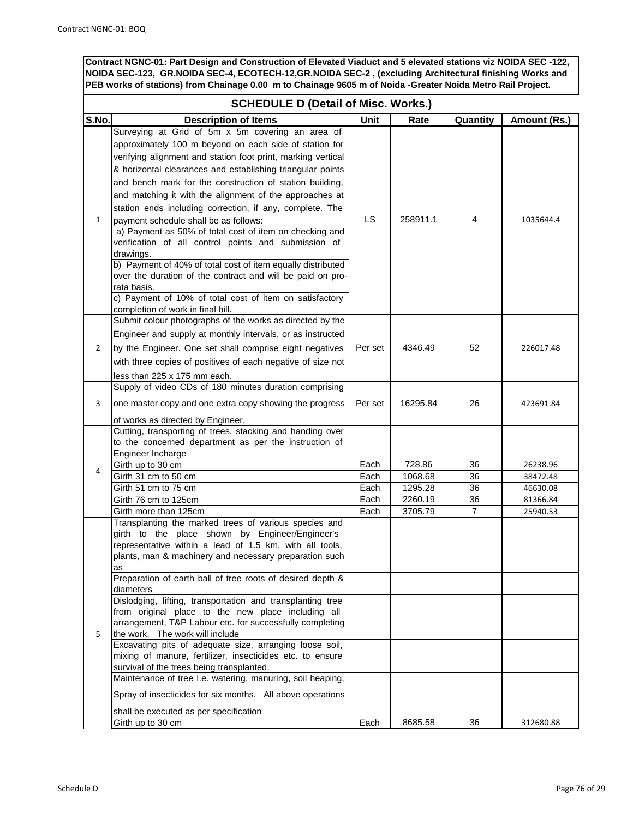## **SCHEDULE D (Detail of Misc. Works.)**

| S.No. | <b>Description of Items</b>                                      | <b>Unit</b> | Rate     | Quantity | Amount (Rs.) |
|-------|------------------------------------------------------------------|-------------|----------|----------|--------------|
|       | Surveying at Grid of 5m x 5m covering an area of                 |             |          |          |              |
|       |                                                                  |             |          |          |              |
|       | approximately 100 m beyond on each side of station for           |             |          |          |              |
|       | verifying alignment and station foot print, marking vertical     |             |          |          |              |
|       | & horizontal clearances and establishing triangular points       |             |          |          |              |
|       | and bench mark for the construction of station building,         |             |          |          |              |
|       | and matching it with the alignment of the approaches at          |             |          |          |              |
|       | station ends including correction, if any, complete. The         |             |          |          |              |
| 1     | payment schedule shall be as follows:                            | LS.         | 258911.1 | 4        | 1035644.4    |
|       | a) Payment as 50% of total cost of item on checking and          |             |          |          |              |
|       | verification of all control points and submission of             |             |          |          |              |
|       | drawings.                                                        |             |          |          |              |
|       | b) Payment of 40% of total cost of item equally distributed      |             |          |          |              |
|       | over the duration of the contract and will be paid on pro-       |             |          |          |              |
|       | rata basis.                                                      |             |          |          |              |
|       | c) Payment of 10% of total cost of item on satisfactory          |             |          |          |              |
|       | completion of work in final bill.                                |             |          |          |              |
|       | Submit colour photographs of the works as directed by the        |             |          |          |              |
|       | Engineer and supply at monthly intervals, or as instructed       |             |          |          |              |
| 2     | by the Engineer. One set shall comprise eight negatives          | Per set     | 4346.49  | 52       | 226017.48    |
|       | with three copies of positives of each negative of size not      |             |          |          |              |
|       | less than 225 x 175 mm each.                                     |             |          |          |              |
|       | Supply of video CDs of 180 minutes duration comprising           |             |          |          |              |
| 3     | one master copy and one extra copy showing the progress          | Per set     | 16295.84 | 26       | 423691.84    |
|       | of works as directed by Engineer.                                |             |          |          |              |
|       | Cutting, transporting of trees, stacking and handing over        |             |          |          |              |
|       | to the concerned department as per the instruction of            |             |          |          |              |
|       | Engineer Incharge                                                |             |          |          |              |
| 4     | Girth up to 30 cm                                                | Each        | 728.86   | 36       | 26238.96     |
|       | Girth 31 cm to 50 cm                                             | Each        | 1068.68  | 36       | 38472.48     |
|       | Girth 51 cm to 75 cm                                             | Each        | 1295.28  | 36       | 46630.08     |
|       | Girth 76 cm to 125cm                                             | Each        | 2260.19  | 36       | 81366.84     |
|       | Girth more than 125cm                                            | Each        | 3705.79  | 7        | 25940.53     |
|       | Transplanting the marked trees of various species and            |             |          |          |              |
|       | girth to the place shown by Engineer/Engineer's                  |             |          |          |              |
|       | representative within a lead of 1.5 km, with all tools,          |             |          |          |              |
|       | plants, man & machinery and necessary preparation such           |             |          |          |              |
|       | as<br>Preparation of earth ball of tree roots of desired depth & |             |          |          |              |
|       | diameters                                                        |             |          |          |              |
|       | Dislodging, lifting, transportation and transplanting tree       |             |          |          |              |
|       | from original place to the new place including all               |             |          |          |              |
|       | arrangement, T&P Labour etc. for successfully completing         |             |          |          |              |
| 5     | the work. The work will include                                  |             |          |          |              |
|       | Excavating pits of adequate size, arranging loose soil,          |             |          |          |              |
|       | mixing of manure, fertilizer, insecticides etc. to ensure        |             |          |          |              |
|       | survival of the trees being transplanted.                        |             |          |          |              |
|       | Maintenance of tree I.e. watering, manuring, soil heaping,       |             |          |          |              |
|       | Spray of insecticides for six months. All above operations       |             |          |          |              |
|       | shall be executed as per specification                           |             |          |          |              |
|       | Girth up to 30 cm                                                | Each        | 8685.58  | 36       | 312680.88    |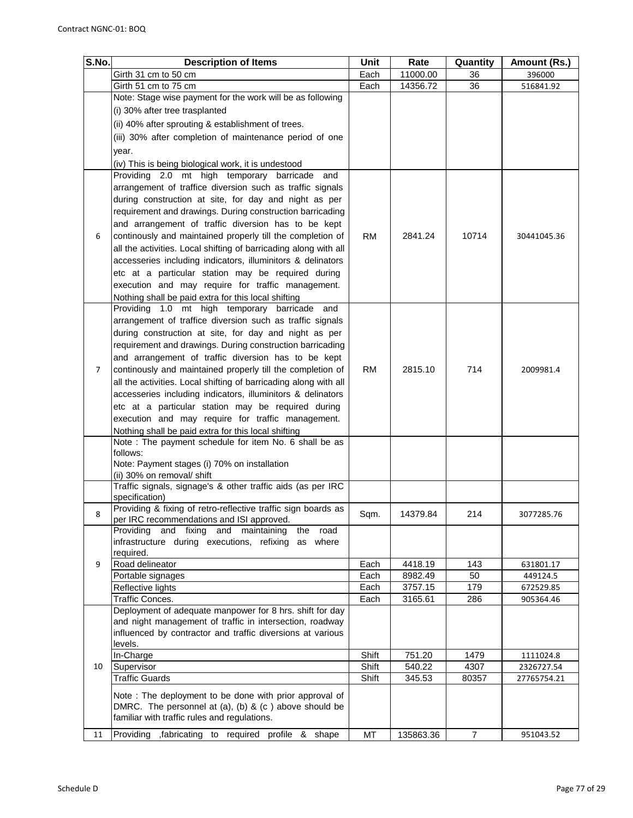| S.No. | <b>Description of Items</b>                                                                        | Unit      | Rate      | Quantity       | Amount (Rs.) |
|-------|----------------------------------------------------------------------------------------------------|-----------|-----------|----------------|--------------|
|       | Girth 31 cm to 50 cm                                                                               | Each      | 11000.00  | 36             | 396000       |
|       | Girth 51 cm to 75 cm                                                                               | Each      | 14356.72  | 36             | 516841.92    |
|       | Note: Stage wise payment for the work will be as following                                         |           |           |                |              |
|       | (i) 30% after tree trasplanted                                                                     |           |           |                |              |
|       | (ii) 40% after sprouting & establishment of trees.                                                 |           |           |                |              |
|       | (iii) 30% after completion of maintenance period of one                                            |           |           |                |              |
|       | year.                                                                                              |           |           |                |              |
|       | (iv) This is being biological work, it is undestood                                                |           |           |                |              |
|       | Providing 2.0 mt high temporary barricade<br>and                                                   |           |           |                |              |
|       | arrangement of traffice diversion such as traffic signals                                          |           |           |                |              |
|       | during construction at site, for day and night as per                                              |           |           |                |              |
|       | requirement and drawings. During construction barricading                                          |           |           |                |              |
|       | and arrangement of traffic diversion has to be kept                                                |           |           |                |              |
| 6     | continously and maintained properly till the completion of                                         | RM        | 2841.24   | 10714          | 30441045.36  |
|       | all the activities. Local shifting of barricading along with all                                   |           |           |                |              |
|       | accesseries including indicators, illuminitors & delinators                                        |           |           |                |              |
|       | etc at a particular station may be required during                                                 |           |           |                |              |
|       | execution and may require for traffic management.                                                  |           |           |                |              |
|       | Nothing shall be paid extra for this local shifting                                                |           |           |                |              |
|       | Providing 1.0 mt high temporary barricade and                                                      |           |           |                |              |
|       | arrangement of traffice diversion such as traffic signals                                          |           |           |                |              |
|       | during construction at site, for day and night as per                                              |           |           |                |              |
|       | requirement and drawings. During construction barricading                                          |           |           |                |              |
|       | and arrangement of traffic diversion has to be kept                                                |           |           |                |              |
| 7     | continously and maintained properly till the completion of                                         | <b>RM</b> | 2815.10   | 714            | 2009981.4    |
|       | all the activities. Local shifting of barricading along with all                                   |           |           |                |              |
|       | accesseries including indicators, illuminitors & delinators                                        |           |           |                |              |
|       | etc at a particular station may be required during                                                 |           |           |                |              |
|       | execution and may require for traffic management.                                                  |           |           |                |              |
|       | Nothing shall be paid extra for this local shifting                                                |           |           |                |              |
|       | Note : The payment schedule for item No. 6 shall be as                                             |           |           |                |              |
|       | follows:                                                                                           |           |           |                |              |
|       | Note: Payment stages (i) 70% on installation                                                       |           |           |                |              |
|       | (ii) 30% on removal/ shift                                                                         |           |           |                |              |
|       | Traffic signals, signage's & other traffic aids (as per IRC                                        |           |           |                |              |
|       | specification)                                                                                     |           |           |                |              |
| 8     | Providing & fixing of retro-reflective traffic sign boards as                                      | Sqm.      | 14379.84  | 214            | 3077285.76   |
|       | per IRC recommendations and ISI approved.<br>and fixing                                            |           |           |                |              |
|       | and maintaining<br>Providing<br>road<br>the<br>infrastructure during executions, refixing as where |           |           |                |              |
|       | required.                                                                                          |           |           |                |              |
| 9     | Road delineator                                                                                    | Each      | 4418.19   | 143            | 631801.17    |
|       | Portable signages                                                                                  | Each      | 8982.49   | 50             | 449124.5     |
|       | Reflective lights                                                                                  | Each      | 3757.15   | 179            | 672529.85    |
|       | Traffic Conces.                                                                                    | Each      | 3165.61   | 286            | 905364.46    |
|       | Deployment of adequate manpower for 8 hrs. shift for day                                           |           |           |                |              |
|       | and night management of traffic in intersection, roadway                                           |           |           |                |              |
|       | influenced by contractor and traffic diversions at various                                         |           |           |                |              |
|       | levels.                                                                                            |           |           |                |              |
|       | In-Charge                                                                                          | Shift     | 751.20    | 1479           | 1111024.8    |
| 10    | Supervisor                                                                                         | Shift     | 540.22    | 4307           | 2326727.54   |
|       | <b>Traffic Guards</b>                                                                              | Shift     | 345.53    | 80357          | 27765754.21  |
|       | Note: The deployment to be done with prior approval of                                             |           |           |                |              |
|       | DMRC. The personnel at (a), (b) & (c) above should be                                              |           |           |                |              |
|       | familiar with traffic rules and regulations.                                                       |           |           |                |              |
| 11    | Providing ,fabricating to required profile & shape                                                 | МT        | 135863.36 | $\overline{7}$ | 951043.52    |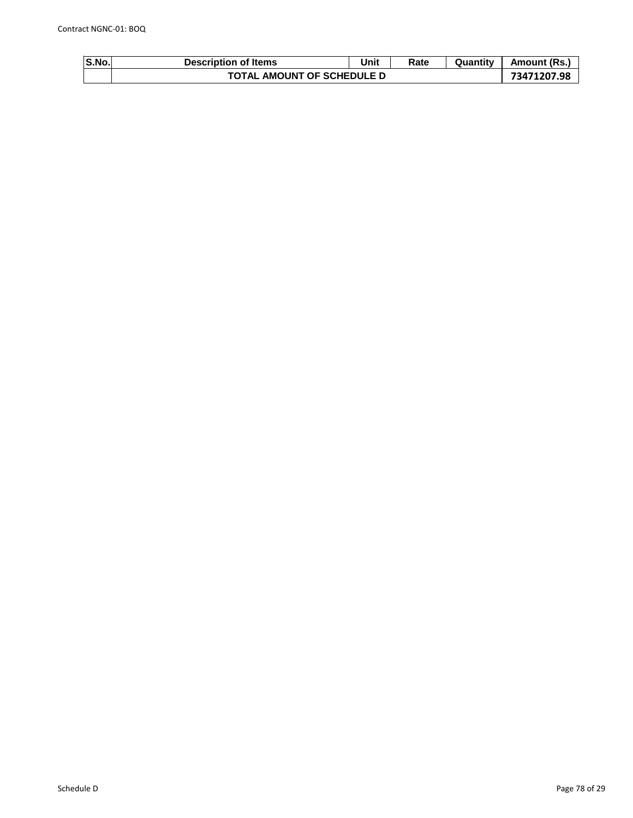| <b>S.No.</b> | <b>Description of Items</b>       | Unit | Rate | Quantity | Amount (Rs |
|--------------|-----------------------------------|------|------|----------|------------|
|              | <b>TOTAL AMOUNT OF SCHEDULE D</b> |      |      |          |            |